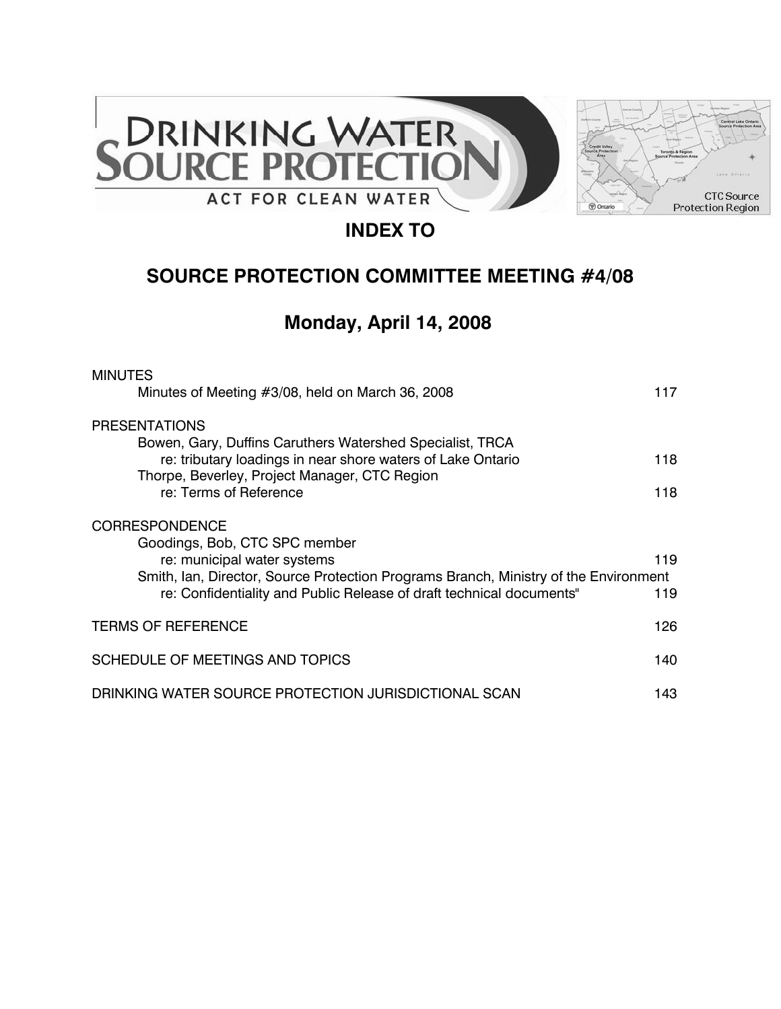



# **INDEX TO**

# **SOURCE PROTECTION COMMITTEE MEETING #4/08**

# **Monday, April 14, 2008**

| <b>MINUTES</b>                                                                                                                                               |     |
|--------------------------------------------------------------------------------------------------------------------------------------------------------------|-----|
| Minutes of Meeting #3/08, held on March 36, 2008                                                                                                             | 117 |
| <b>PRESENTATIONS</b>                                                                                                                                         |     |
| Bowen, Gary, Duffins Caruthers Watershed Specialist, TRCA                                                                                                    |     |
| re: tributary loadings in near shore waters of Lake Ontario<br>Thorpe, Beverley, Project Manager, CTC Region                                                 | 118 |
| re: Terms of Reference                                                                                                                                       | 118 |
| <b>CORRESPONDENCE</b>                                                                                                                                        |     |
| Goodings, Bob, CTC SPC member                                                                                                                                |     |
| re: municipal water systems                                                                                                                                  | 119 |
| Smith, Ian, Director, Source Protection Programs Branch, Ministry of the Environment<br>re: Confidentiality and Public Release of draft technical documents" | 119 |
|                                                                                                                                                              |     |
| <b>TERMS OF REFERENCE</b>                                                                                                                                    | 126 |
| SCHEDULE OF MEETINGS AND TOPICS                                                                                                                              | 140 |
| DRINKING WATER SOURCE PROTECTION JURISDICTIONAL SCAN                                                                                                         | 143 |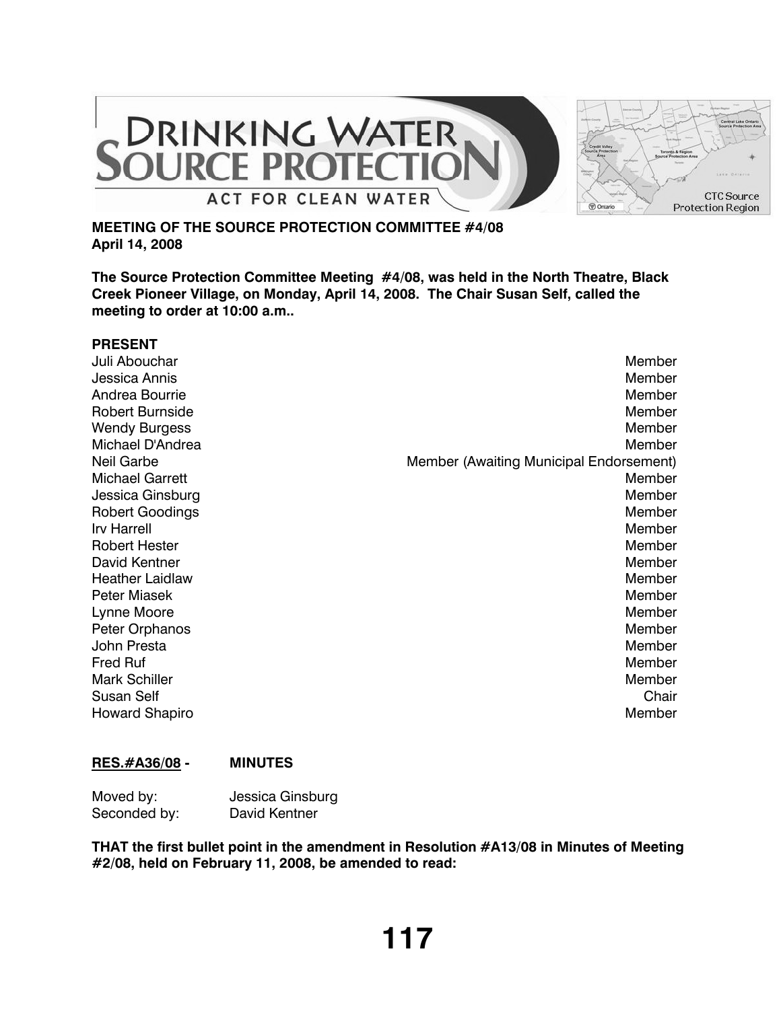

# **MEETING OF THE SOURCE PROTECTION COMMITTEE #4/08 April 14, 2008**

**The Source Protection Committee Meeting #4/08, was held in the North Theatre, Black Creek Pioneer Village, on Monday, April 14, 2008. The Chair Susan Self, called the meeting to order at 10:00 a.m..**

| <b>PRESENT</b>         |                                         |
|------------------------|-----------------------------------------|
| Juli Abouchar          | Member                                  |
| Jessica Annis          | Member                                  |
| Andrea Bourrie         | Member                                  |
| <b>Robert Burnside</b> | Member                                  |
| <b>Wendy Burgess</b>   | Member                                  |
| Michael D'Andrea       | Member                                  |
| <b>Neil Garbe</b>      | Member (Awaiting Municipal Endorsement) |
| <b>Michael Garrett</b> | Member                                  |
| Jessica Ginsburg       | Member                                  |
| <b>Robert Goodings</b> | Member                                  |
| <b>Irv Harrell</b>     | Member                                  |
| <b>Robert Hester</b>   | Member                                  |
| <b>David Kentner</b>   | Member                                  |
| <b>Heather Laidlaw</b> | Member                                  |
| <b>Peter Miasek</b>    | Member                                  |
| Lynne Moore            | Member                                  |
| Peter Orphanos         | Member                                  |
| John Presta            | Member                                  |
| <b>Fred Ruf</b>        | Member                                  |
| <b>Mark Schiller</b>   | Member                                  |
| <b>Susan Self</b>      | Chair                                   |
| <b>Howard Shapiro</b>  | Member                                  |

# **RES.#A36/08 - MINUTES**

| Moved by:    | Jessica Ginsburg |
|--------------|------------------|
| Seconded by: | David Kentner    |

**THAT the first bullet point in the amendment in Resolution #A13/08 in Minutes of Meeting #2/08, held on February 11, 2008, be amended to read:**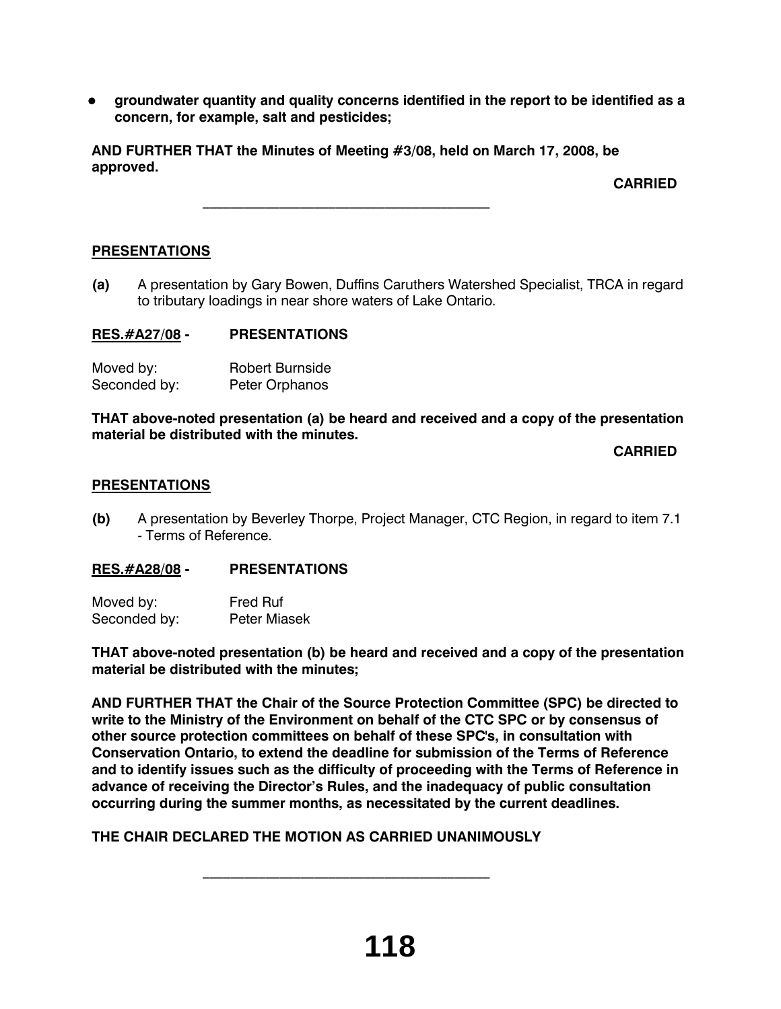**•** groundwater quantity and quality concerns identified in the report to be identified as a **concern, for example, salt and pesticides;**

**AND FURTHER THAT the Minutes of Meeting #3/08, held on March 17, 2008, be approved.** 

 $\frac{1}{2}$  ,  $\frac{1}{2}$  ,  $\frac{1}{2}$  ,  $\frac{1}{2}$  ,  $\frac{1}{2}$  ,  $\frac{1}{2}$  ,  $\frac{1}{2}$  ,  $\frac{1}{2}$  ,  $\frac{1}{2}$  ,  $\frac{1}{2}$  ,  $\frac{1}{2}$  ,  $\frac{1}{2}$  ,  $\frac{1}{2}$  ,  $\frac{1}{2}$  ,  $\frac{1}{2}$  ,  $\frac{1}{2}$  ,  $\frac{1}{2}$  ,  $\frac{1}{2}$  ,  $\frac{1$ 

**CARRIED**

# **PRESENTATIONS**

**(a)** A presentation by Gary Bowen, Duffins Caruthers Watershed Specialist, TRCA in regard to tributary loadings in near shore waters of Lake Ontario.

# **RES.#A27/08 - PRESENTATIONS**

| Moved by:    | <b>Robert Burnside</b> |
|--------------|------------------------|
| Seconded by: | Peter Orphanos         |

**THAT above-noted presentation (a) be heard and received and a copy of the presentation material be distributed with the minutes.**

**CARRIED**

### **PRESENTATIONS**

**(b)** A presentation by Beverley Thorpe, Project Manager, CTC Region, in regard to item 7.1 - Terms of Reference.

# **RES.#A28/08 - PRESENTATIONS**

| Moved by:    | <b>Fred Ruf</b>     |
|--------------|---------------------|
| Seconded by: | <b>Peter Miasek</b> |

**THAT above-noted presentation (b) be heard and received and a copy of the presentation material be distributed with the minutes;**

**AND FURTHER THAT the Chair of the Source Protection Committee (SPC) be directed to write to the Ministry of the Environment on behalf of the CTC SPC or by consensus of other source protection committees on behalf of these SPC's, in consultation with Conservation Ontario, to extend the deadline for submission of the Terms of Reference and to identify issues such as the difficulty of proceeding with the Terms of Reference in advance of receiving the Director's Rules, and the inadequacy of public consultation occurring during the summer months, as necessitated by the current deadlines.**

**THE CHAIR DECLARED THE MOTION AS CARRIED UNANIMOUSLY**

 $\mathcal{L}_\text{max}$  and  $\mathcal{L}_\text{max}$  and  $\mathcal{L}_\text{max}$  and  $\mathcal{L}_\text{max}$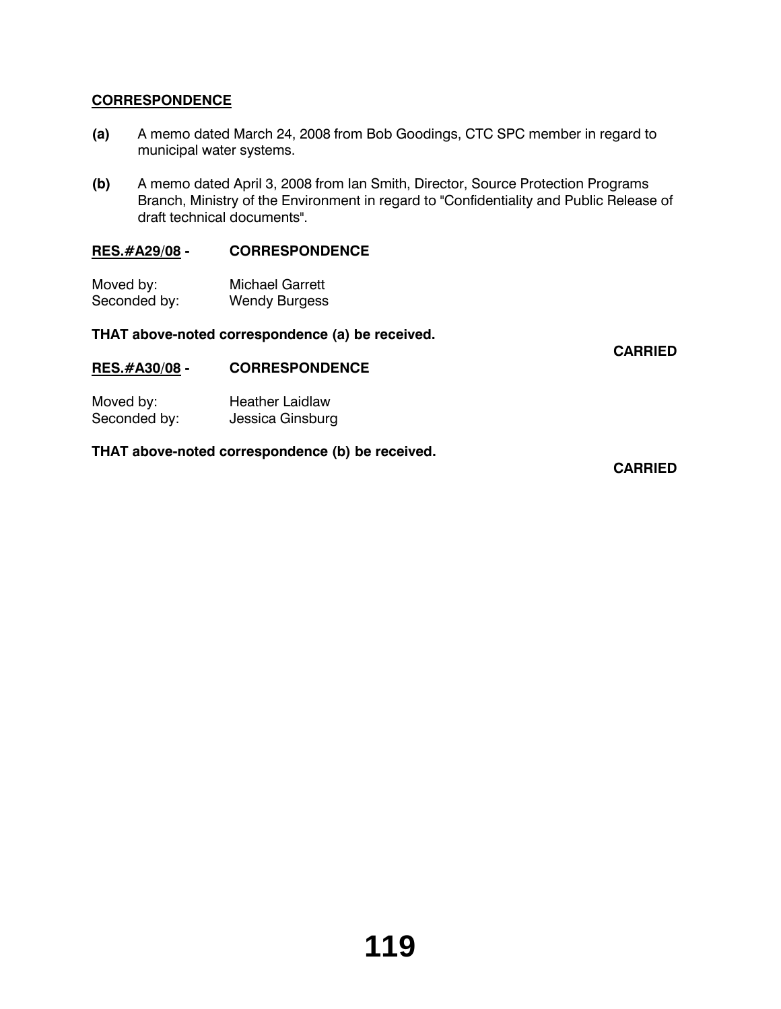# **CORRESPONDENCE**

- **(a)** A memo dated March 24, 2008 from Bob Goodings, CTC SPC member in regard to municipal water systems.
- **(b)** A memo dated April 3, 2008 from Ian Smith, Director, Source Protection Programs Branch, Ministry of the Environment in regard to "Confidentiality and Public Release of draft technical documents".

# **RES.#A29/08 - CORRESPONDENCE**

| Moved by:    | <b>Michael Garrett</b> |
|--------------|------------------------|
| Seconded by: | <b>Wendy Burgess</b>   |

### **THAT above-noted correspondence (a) be received.**

**CARRIED**

### **RES.#A30/08 - CORRESPONDENCE**

| Moved by:    | <b>Heather Laidlaw</b> |
|--------------|------------------------|
| Seconded by: | Jessica Ginsburg       |

### **THAT above-noted correspondence (b) be received.**

**CARRIED**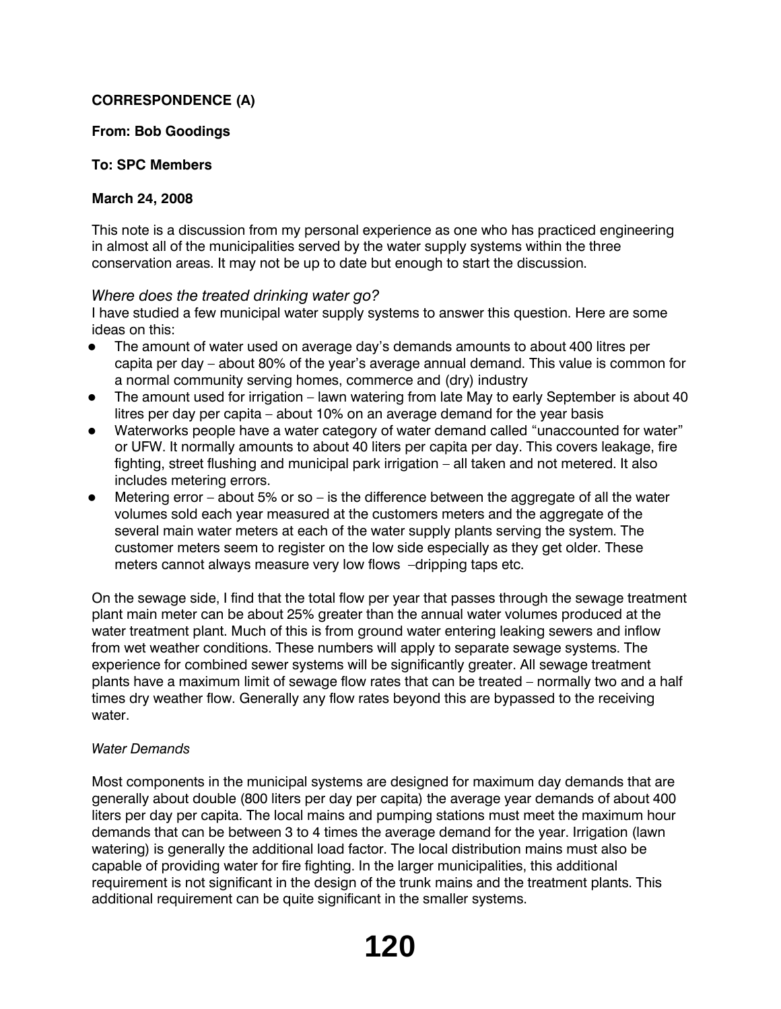# **CORRESPONDENCE (A)**

# **From: Bob Goodings**

# **To: SPC Members**

# **March 24, 2008**

This note is a discussion from my personal experience as one who has practiced engineering in almost all of the municipalities served by the water supply systems within the three conservation areas. It may not be up to date but enough to start the discussion.

# *Where does the treated drinking water go?*

I have studied a few municipal water supply systems to answer this question. Here are some ideas on this:

- The amount of water used on average day's demands amounts to about 400 litres per capita per day – about 80% of the year's average annual demand. This value is common for a normal community serving homes, commerce and (dry) industry
- The amount used for irrigation lawn watering from late May to early September is about 40 litres per day per capita – about 10% on an average demand for the year basis
- Waterworks people have a water category of water demand called "unaccounted for water" or UFW. It normally amounts to about 40 liters per capita per day. This covers leakage, fire fighting, street flushing and municipal park irrigation – all taken and not metered. It also includes metering errors.
- Metering error about 5% or so is the difference between the aggregate of all the water volumes sold each year measured at the customers meters and the aggregate of the several main water meters at each of the water supply plants serving the system. The customer meters seem to register on the low side especially as they get older. These meters cannot always measure very low flows –dripping taps etc.

On the sewage side, I find that the total flow per year that passes through the sewage treatment plant main meter can be about 25% greater than the annual water volumes produced at the water treatment plant. Much of this is from ground water entering leaking sewers and inflow from wet weather conditions. These numbers will apply to separate sewage systems. The experience for combined sewer systems will be significantly greater. All sewage treatment plants have a maximum limit of sewage flow rates that can be treated – normally two and a half times dry weather flow. Generally any flow rates beyond this are bypassed to the receiving water.

# *Water Demands*

Most components in the municipal systems are designed for maximum day demands that are generally about double (800 liters per day per capita) the average year demands of about 400 liters per day per capita. The local mains and pumping stations must meet the maximum hour demands that can be between 3 to 4 times the average demand for the year. Irrigation (lawn watering) is generally the additional load factor. The local distribution mains must also be capable of providing water for fire fighting. In the larger municipalities, this additional requirement is not significant in the design of the trunk mains and the treatment plants. This additional requirement can be quite significant in the smaller systems.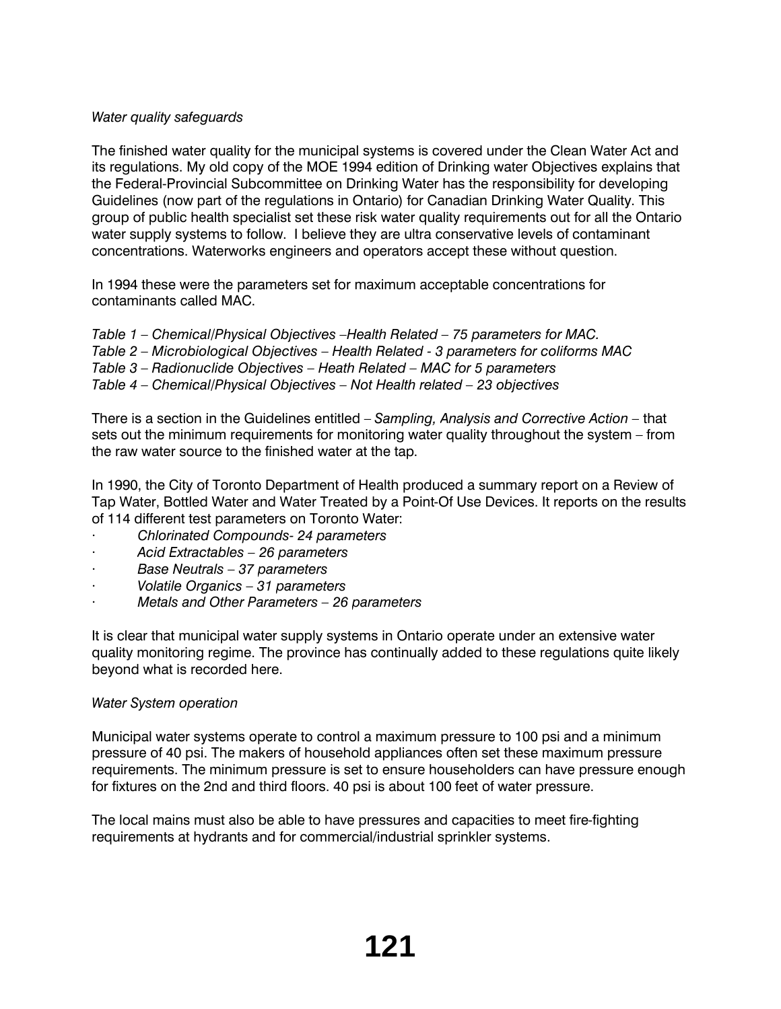# *Water quality safeguards*

The finished water quality for the municipal systems is covered under the Clean Water Act and its regulations. My old copy of the MOE 1994 edition of Drinking water Objectives explains that the Federal-Provincial Subcommittee on Drinking Water has the responsibility for developing Guidelines (now part of the regulations in Ontario) for Canadian Drinking Water Quality. This group of public health specialist set these risk water quality requirements out for all the Ontario water supply systems to follow. I believe they are ultra conservative levels of contaminant concentrations. Waterworks engineers and operators accept these without question.

In 1994 these were the parameters set for maximum acceptable concentrations for contaminants called MAC.

*Table 1 – Chemical/Physical Objectives –Health Related – 75 parameters for MAC. Table 2 – Microbiological Objectives – Health Related - 3 parameters for coliforms MAC Table 3 – Radionuclide Objectives – Heath Related – MAC for 5 parameters Table 4 – Chemical/Physical Objectives – Not Health related – 23 objectives*

There is a section in the Guidelines entitled – *Sampling, Analysis and Corrective Action –* that sets out the minimum requirements for monitoring water quality throughout the system – from the raw water source to the finished water at the tap.

In 1990, the City of Toronto Department of Health produced a summary report on a Review of Tap Water, Bottled Water and Water Treated by a Point-Of Use Devices. It reports on the results of 114 different test parameters on Toronto Water:

- · *Chlorinated Compounds- 24 parameters*
- · *Acid Extractables 26 parameters*
- · *Base Neutrals 37 parameters*
- · *Volatile Organics 31 parameters*
- · *Metals and Other Parameters 26 parameters*

It is clear that municipal water supply systems in Ontario operate under an extensive water quality monitoring regime. The province has continually added to these regulations quite likely beyond what is recorded here.

# *Water System operation*

Municipal water systems operate to control a maximum pressure to 100 psi and a minimum pressure of 40 psi. The makers of household appliances often set these maximum pressure requirements. The minimum pressure is set to ensure householders can have pressure enough for fixtures on the 2nd and third floors. 40 psi is about 100 feet of water pressure.

The local mains must also be able to have pressures and capacities to meet fire-fighting requirements at hydrants and for commercial/industrial sprinkler systems.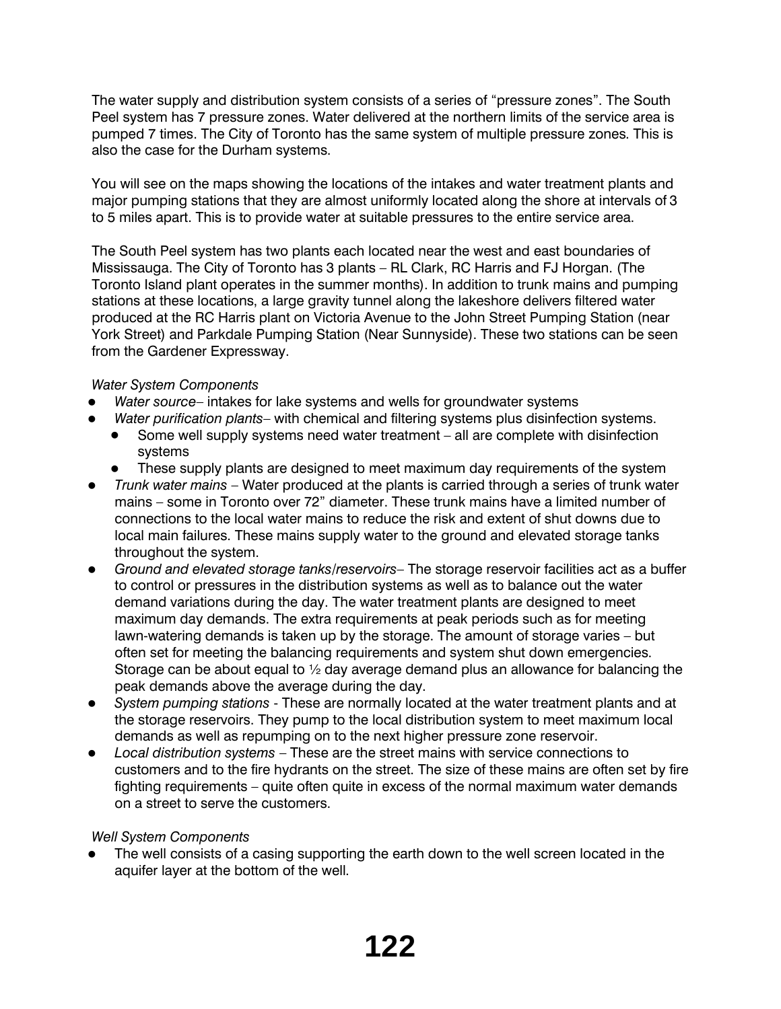The water supply and distribution system consists of a series of "pressure zones". The South Peel system has 7 pressure zones. Water delivered at the northern limits of the service area is pumped 7 times. The City of Toronto has the same system of multiple pressure zones. This is also the case for the Durham systems.

You will see on the maps showing the locations of the intakes and water treatment plants and major pumping stations that they are almost uniformly located along the shore at intervals of 3 to 5 miles apart. This is to provide water at suitable pressures to the entire service area.

The South Peel system has two plants each located near the west and east boundaries of Mississauga. The City of Toronto has 3 plants – RL Clark, RC Harris and FJ Horgan. (The Toronto Island plant operates in the summer months). In addition to trunk mains and pumping stations at these locations, a large gravity tunnel along the lakeshore delivers filtered water produced at the RC Harris plant on Victoria Avenue to the John Street Pumping Station (near York Street) and Parkdale Pumping Station (Near Sunnyside). These two stations can be seen from the Gardener Expressway.

# *Water System Components*

- Water source- intakes for lake systems and wells for groundwater systems
- Water purification plants- with chemical and filtering systems plus disinfection systems.
	- Some well supply systems need water treatment all are complete with disinfection systems
		- These supply plants are designed to meet maximum day requirements of the system
- *Trunk water mains* Water produced at the plants is carried through a series of trunk water mains – some in Toronto over 72" diameter. These trunk mains have a limited number of connections to the local water mains to reduce the risk and extent of shut downs due to local main failures. These mains supply water to the ground and elevated storage tanks throughout the system.
- **•** Ground and elevated storage tanks/reservoirs– The storage reservoir facilities act as a buffer to control or pressures in the distribution systems as well as to balance out the water demand variations during the day. The water treatment plants are designed to meet maximum day demands. The extra requirements at peak periods such as for meeting lawn-watering demands is taken up by the storage. The amount of storage varies – but often set for meeting the balancing requirements and system shut down emergencies. Storage can be about equal to ½ day average demand plus an allowance for balancing the peak demands above the average during the day.
- System pumping stations These are normally located at the water treatment plants and at the storage reservoirs. They pump to the local distribution system to meet maximum local demands as well as repumping on to the next higher pressure zone reservoir.
- Local distribution systems These are the street mains with service connections to customers and to the fire hydrants on the street. The size of these mains are often set by fire fighting requirements – quite often quite in excess of the normal maximum water demands on a street to serve the customers.

# *Well System Components*

The well consists of a casing supporting the earth down to the well screen located in the aquifer layer at the bottom of the well.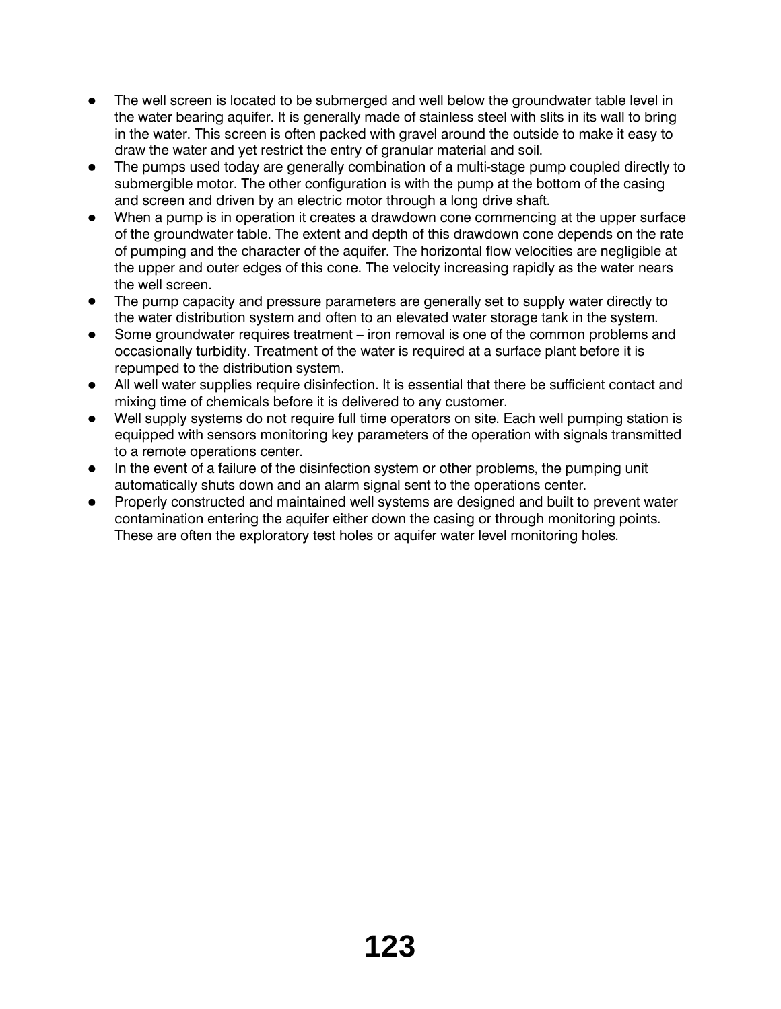- The well screen is located to be submerged and well below the groundwater table level in the water bearing aquifer. It is generally made of stainless steel with slits in its wall to bring in the water. This screen is often packed with gravel around the outside to make it easy to draw the water and yet restrict the entry of granular material and soil.
- The pumps used today are generally combination of a multi-stage pump coupled directly to submergible motor. The other configuration is with the pump at the bottom of the casing and screen and driven by an electric motor through a long drive shaft.
- When a pump is in operation it creates a drawdown cone commencing at the upper surface of the groundwater table. The extent and depth of this drawdown cone depends on the rate of pumping and the character of the aquifer. The horizontal flow velocities are negligible at the upper and outer edges of this cone. The velocity increasing rapidly as the water nears the well screen.
- The pump capacity and pressure parameters are generally set to supply water directly to the water distribution system and often to an elevated water storage tank in the system.
- Some groundwater requires treatment iron removal is one of the common problems and occasionally turbidity. Treatment of the water is required at a surface plant before it is repumped to the distribution system.
- All well water supplies require disinfection. It is essential that there be sufficient contact and mixing time of chemicals before it is delivered to any customer.
- Well supply systems do not require full time operators on site. Each well pumping station is equipped with sensors monitoring key parameters of the operation with signals transmitted to a remote operations center.
- In the event of a failure of the disinfection system or other problems, the pumping unit automatically shuts down and an alarm signal sent to the operations center.
- Properly constructed and maintained well systems are designed and built to prevent water contamination entering the aquifer either down the casing or through monitoring points. These are often the exploratory test holes or aquifer water level monitoring holes.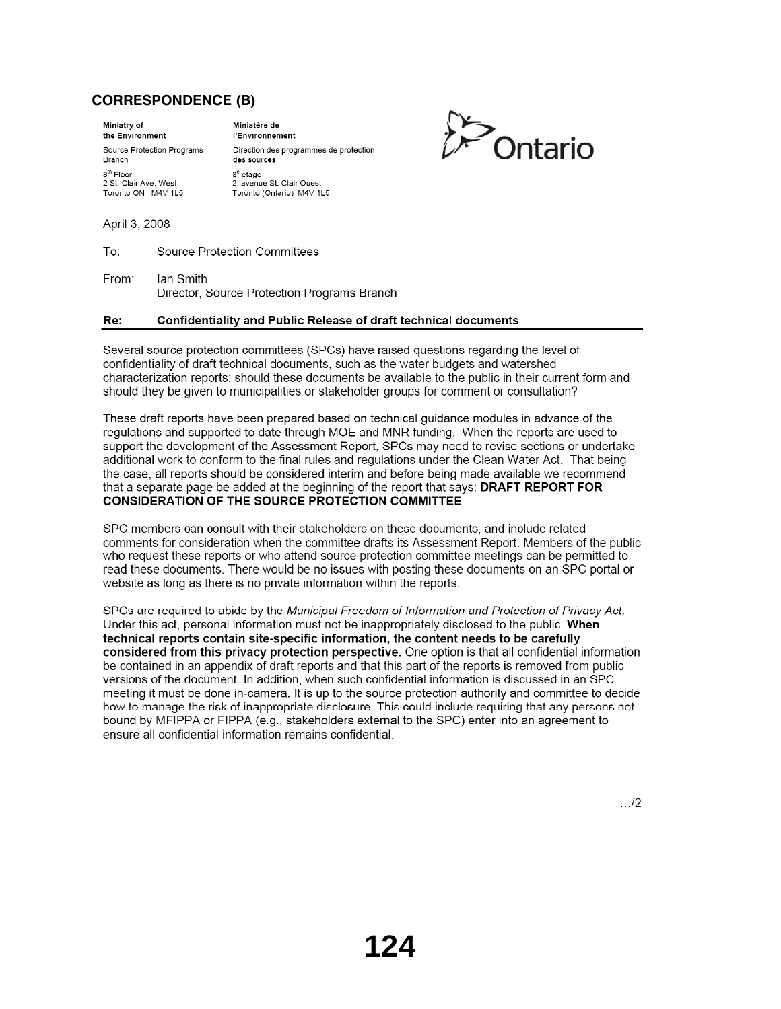# **CORRESPONDENCE (B)**

Ministry of the Environment Source Protection Programs **Branch** 8<sup>th</sup> Floor 2 St. Clair Ave. West Toronto ON M4V 1L5

Ministère de l'Environnement Direction des programmes de protection des sources  $8^{\rm e}$ étage 2, avenue St. Clair Ouest Toronto (Ontario) M4V 1L5



April 3, 2008

To: **Source Protection Committees** 

From: Ian Smith Director, Source Protection Programs Branch

#### Re: Confidentiality and Public Release of draft technical documents

Several source protection committees (SPCs) have raised questions regarding the level of confidentiality of draft technical documents, such as the water budgets and watershed characterization reports; should these documents be available to the public in their current form and should they be given to municipalities or stakeholder groups for comment or consultation?

These draft reports have been prepared based on technical guidance modules in advance of the regulations and supported to date through MOE and MNR funding. When the reports are used to support the development of the Assessment Report, SPCs may need to revise sections or undertake additional work to conform to the final rules and regulations under the Clean Water Act. That being the case, all reports should be considered interim and before being made available we recommend that a separate page be added at the beginning of the report that says: DRAFT REPORT FOR **CONSIDERATION OF THE SOURCE PROTECTION COMMITTEE.** 

SPC members can consult with their stakeholders on these documents, and include related comments for consideration when the committee drafts its Assessment Report. Members of the public who request these reports or who attend source protection committee meetings can be permitted to read these documents. There would be no issues with posting these documents on an SPC portal or website as long as there is no private information within the reports.

SPCs are required to abide by the Municipal Freedom of Information and Protection of Privacy Act. Under this act, personal information must not be inappropriately disclosed to the public. When technical reports contain site-specific information, the content needs to be carefully considered from this privacy protection perspective. One option is that all confidential information be contained in an appendix of draft reports and that this part of the reports is removed from public versions of the document. In addition, when such confidential information is discussed in an SPC meeting it must be done in-camera. It is up to the source protection authority and committee to decide how to manage the risk of inappropriate disclosure. This could include requiring that any persons not bound by MFIPPA or FIPPA (e.g., stakeholders external to the SPC) enter into an agreement to ensure all confidential information remains confidential.

 $.12$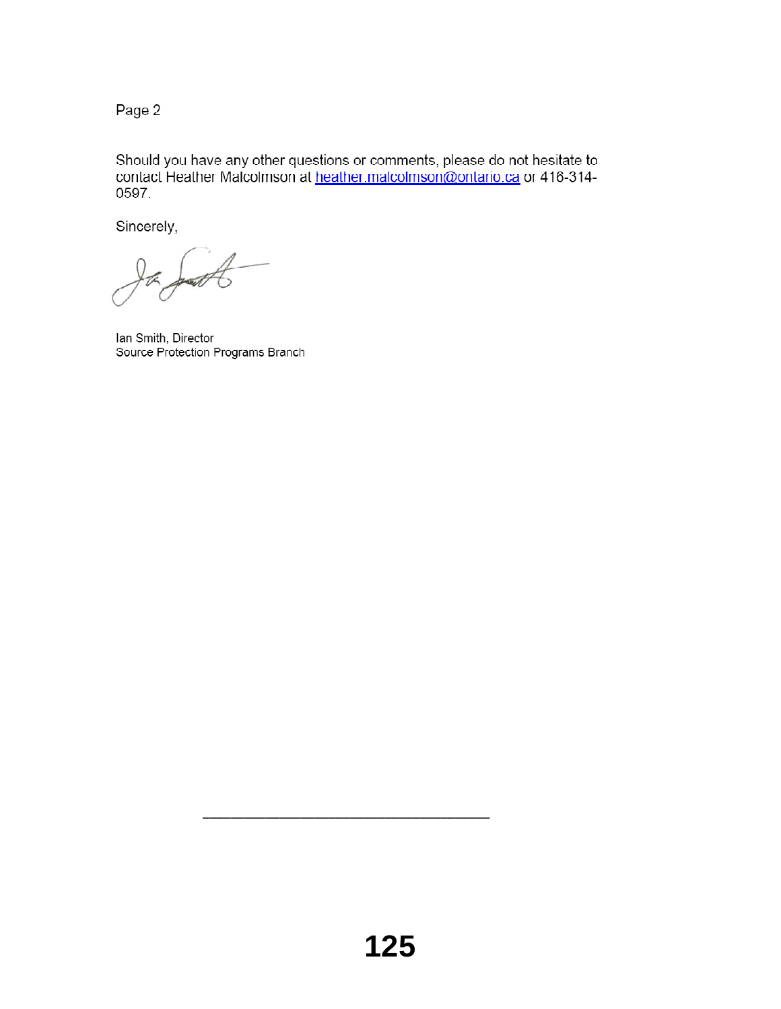Page 2

Should you have any other questions or comments, please do not hesitate to contact Heather Malcolmson at heather.malcolmson@ontario.ca or 416-314-0597.

Sincerely,

Ian Smith, Director Source Protection Programs Branch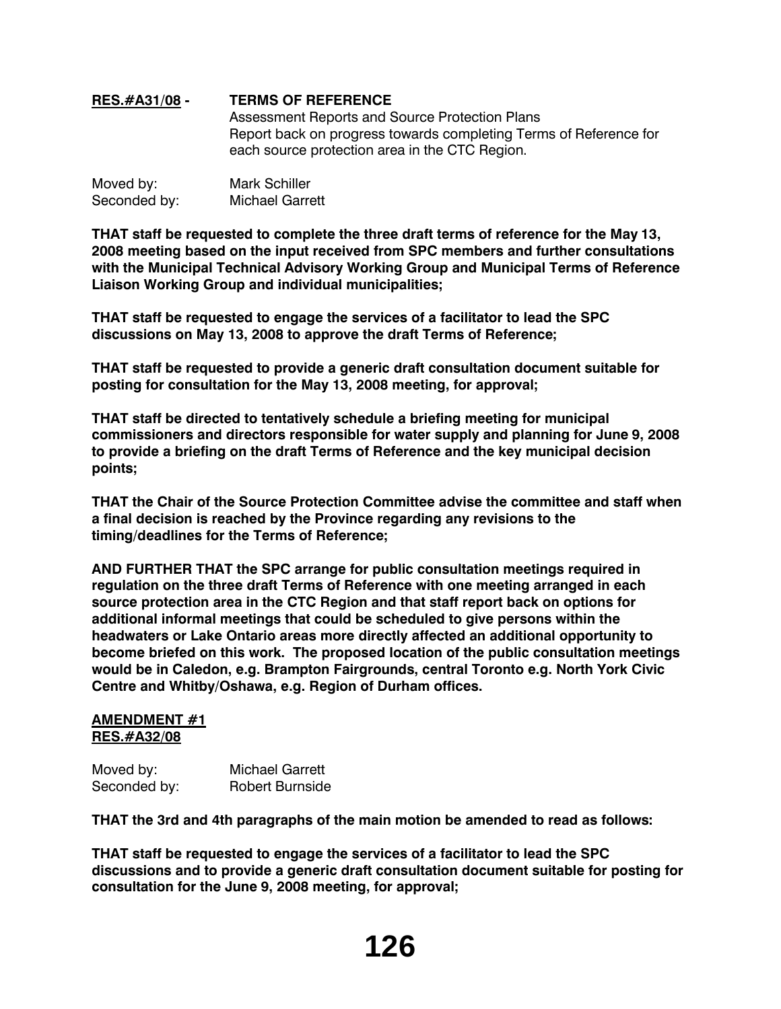# **RES.#A31/08 - TERMS OF REFERENCE** Assessment Reports and Source Protection Plans Report back on progress towards completing Terms of Reference for each source protection area in the CTC Region.

| Moved by:    | <b>Mark Schiller</b>   |
|--------------|------------------------|
| Seconded by: | <b>Michael Garrett</b> |

**THAT staff be requested to complete the three draft terms of reference for the May 13, 2008 meeting based on the input received from SPC members and further consultations with the Municipal Technical Advisory Working Group and Municipal Terms of Reference Liaison Working Group and individual municipalities;**

**THAT staff be requested to engage the services of a facilitator to lead the SPC discussions on May 13, 2008 to approve the draft Terms of Reference;**

**THAT staff be requested to provide a generic draft consultation document suitable for posting for consultation for the May 13, 2008 meeting, for approval;**

**THAT staff be directed to tentatively schedule a briefing meeting for municipal commissioners and directors responsible for water supply and planning for June 9, 2008 to provide a briefing on the draft Terms of Reference and the key municipal decision points;**

**THAT the Chair of the Source Protection Committee advise the committee and staff when a final decision is reached by the Province regarding any revisions to the timing/deadlines for the Terms of Reference;**

**AND FURTHER THAT the SPC arrange for public consultation meetings required in regulation on the three draft Terms of Reference with one meeting arranged in each source protection area in the CTC Region and that staff report back on options for additional informal meetings that could be scheduled to give persons within the headwaters or Lake Ontario areas more directly affected an additional opportunity to become briefed on this work. The proposed location of the public consultation meetings would be in Caledon, e.g. Brampton Fairgrounds, central Toronto e.g. North York Civic Centre and Whitby/Oshawa, e.g. Region of Durham offices.**

#### **AMENDMENT #1 RES.#A32/08**

| Moved by:    | <b>Michael Garrett</b> |
|--------------|------------------------|
| Seconded by: | <b>Robert Burnside</b> |

**THAT the 3rd and 4th paragraphs of the main motion be amended to read as follows:**

**THAT staff be requested to engage the services of a facilitator to lead the SPC discussions and to provide a generic draft consultation document suitable for posting for consultation for the June 9, 2008 meeting, for approval;**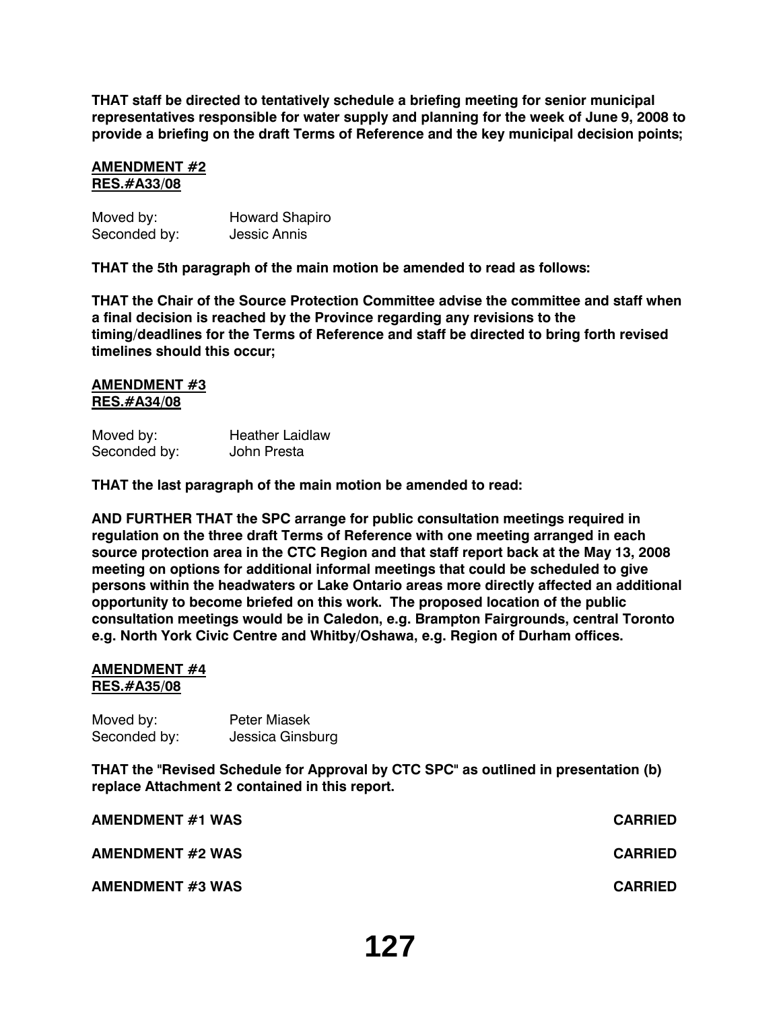**THAT staff be directed to tentatively schedule a briefing meeting for senior municipal representatives responsible for water supply and planning for the week of June 9, 2008 to provide a briefing on the draft Terms of Reference and the key municipal decision points;**

#### **AMENDMENT #2 RES.#A33/08**

| Moved by:    | <b>Howard Shapiro</b> |
|--------------|-----------------------|
| Seconded by: | <b>Jessic Annis</b>   |

**THAT the 5th paragraph of the main motion be amended to read as follows:**

**THAT the Chair of the Source Protection Committee advise the committee and staff when a final decision is reached by the Province regarding any revisions to the timing/deadlines for the Terms of Reference and staff be directed to bring forth revised timelines should this occur;**

#### **AMENDMENT #3 RES.#A34/08**

| Moved by:    | <b>Heather Laidlaw</b> |
|--------------|------------------------|
| Seconded by: | John Presta            |

**THAT the last paragraph of the main motion be amended to read:**

**AND FURTHER THAT the SPC arrange for public consultation meetings required in regulation on the three draft Terms of Reference with one meeting arranged in each source protection area in the CTC Region and that staff report back at the May 13, 2008 meeting on options for additional informal meetings that could be scheduled to give persons within the headwaters or Lake Ontario areas more directly affected an additional opportunity to become briefed on this work. The proposed location of the public consultation meetings would be in Caledon, e.g. Brampton Fairgrounds, central Toronto e.g. North York Civic Centre and Whitby/Oshawa, e.g. Region of Durham offices.**

#### **AMENDMENT #4 RES.#A35/08**

| Moved by:    | <b>Peter Miasek</b> |
|--------------|---------------------|
| Seconded by: | Jessica Ginsburg    |

**THAT the "Revised Schedule for Approval by CTC SPC" as outlined in presentation (b) replace Attachment 2 contained in this report.**

| <b>AMENDMENT #1 WAS</b> | <b>CARRIED</b> |
|-------------------------|----------------|
| <b>AMENDMENT #2 WAS</b> | <b>CARRIED</b> |
| <b>AMENDMENT #3 WAS</b> | <b>CARRIED</b> |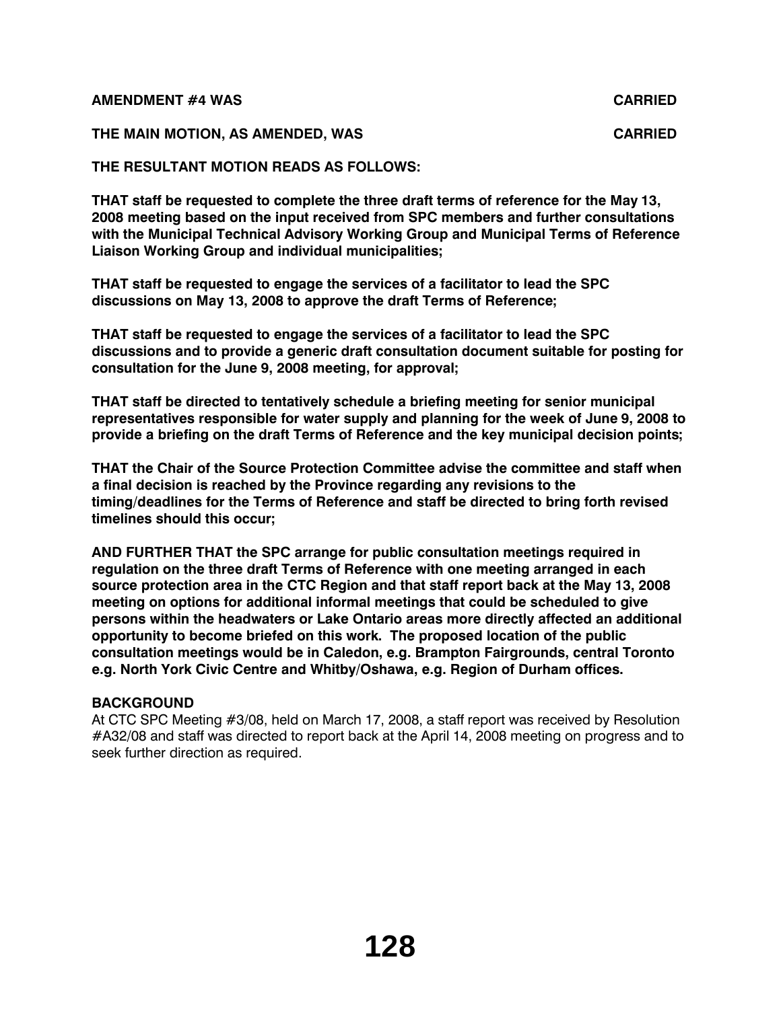#### **AMENDMENT #4 WAS CARRIED**

# **THE MAIN MOTION, AS AMENDED, WAS CARRIED**

# **THE RESULTANT MOTION READS AS FOLLOWS:**

**THAT staff be requested to complete the three draft terms of reference for the May 13, 2008 meeting based on the input received from SPC members and further consultations with the Municipal Technical Advisory Working Group and Municipal Terms of Reference Liaison Working Group and individual municipalities;**

**THAT staff be requested to engage the services of a facilitator to lead the SPC discussions on May 13, 2008 to approve the draft Terms of Reference;**

**THAT staff be requested to engage the services of a facilitator to lead the SPC discussions and to provide a generic draft consultation document suitable for posting for consultation for the June 9, 2008 meeting, for approval;**

**THAT staff be directed to tentatively schedule a briefing meeting for senior municipal representatives responsible for water supply and planning for the week of June 9, 2008 to provide a briefing on the draft Terms of Reference and the key municipal decision points;**

**THAT the Chair of the Source Protection Committee advise the committee and staff when a final decision is reached by the Province regarding any revisions to the timing/deadlines for the Terms of Reference and staff be directed to bring forth revised timelines should this occur;**

**AND FURTHER THAT the SPC arrange for public consultation meetings required in regulation on the three draft Terms of Reference with one meeting arranged in each source protection area in the CTC Region and that staff report back at the May 13, 2008 meeting on options for additional informal meetings that could be scheduled to give persons within the headwaters or Lake Ontario areas more directly affected an additional opportunity to become briefed on this work. The proposed location of the public consultation meetings would be in Caledon, e.g. Brampton Fairgrounds, central Toronto e.g. North York Civic Centre and Whitby/Oshawa, e.g. Region of Durham offices.**

# **BACKGROUND**

At CTC SPC Meeting #3/08, held on March 17, 2008, a staff report was received by Resolution #A32/08 and staff was directed to report back at the April 14, 2008 meeting on progress and to seek further direction as required.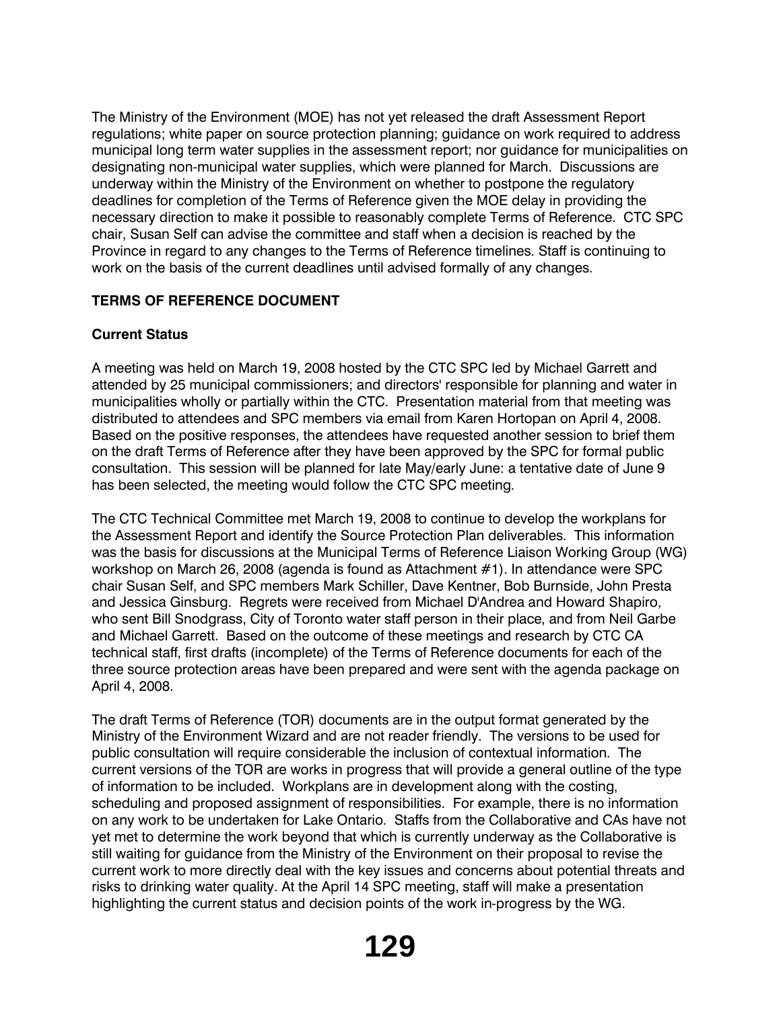The Ministry of the Environment (MOE) has not yet released the draft Assessment Report regulations; white paper on source protection planning; guidance on work required to address municipal long term water supplies in the assessment report; nor guidance for municipalities on designating non-municipal water supplies, which were planned for March. Discussions are underway within the Ministry of the Environment on whether to postpone the regulatory deadlines for completion of the Terms of Reference given the MOE delay in providing the necessary direction to make it possible to reasonably complete Terms of Reference. CTC SPC chair, Susan Self can advise the committee and staff when a decision is reached by the Province in regard to any changes to the Terms of Reference timelines. Staff is continuing to work on the basis of the current deadlines until advised formally of any changes.

# **TERMS OF REFERENCE DOCUMENT**

# **Current Status**

A meeting was held on March 19, 2008 hosted by the CTC SPC led by Michael Garrett and attended by 25 municipal commissioners; and directors' responsible for planning and water in municipalities wholly or partially within the CTC. Presentation material from that meeting was distributed to attendees and SPC members via email from Karen Hortopan on April 4, 2008. Based on the positive responses, the attendees have requested another session to brief them on the draft Terms of Reference after they have been approved by the SPC for formal public consultation. This session will be planned for late May/early June: a tentative date of June 9 has been selected, the meeting would follow the CTC SPC meeting.

The CTC Technical Committee met March 19, 2008 to continue to develop the workplans for the Assessment Report and identify the Source Protection Plan deliverables. This information was the basis for discussions at the Municipal Terms of Reference Liaison Working Group (WG) workshop on March 26, 2008 (agenda is found as Attachment #1). In attendance were SPC chair Susan Self, and SPC members Mark Schiller, Dave Kentner, Bob Burnside, John Presta and Jessica Ginsburg. Regrets were received from Michael D'Andrea and Howard Shapiro, who sent Bill Snodgrass, City of Toronto water staff person in their place, and from Neil Garbe and Michael Garrett. Based on the outcome of these meetings and research by CTC CA technical staff, first drafts (incomplete) of the Terms of Reference documents for each of the three source protection areas have been prepared and were sent with the agenda package on April 4, 2008.

The draft Terms of Reference (TOR) documents are in the output format generated by the Ministry of the Environment Wizard and are not reader friendly. The versions to be used for public consultation will require considerable the inclusion of contextual information. The current versions of the TOR are works in progress that will provide a general outline of the type of information to be included. Workplans are in development along with the costing, scheduling and proposed assignment of responsibilities. For example, there is no information on any work to be undertaken for Lake Ontario. Staffs from the Collaborative and CAs have not yet met to determine the work beyond that which is currently underway as the Collaborative is still waiting for guidance from the Ministry of the Environment on their proposal to revise the current work to more directly deal with the key issues and concerns about potential threats and risks to drinking water quality. At the April 14 SPC meeting, staff will make a presentation highlighting the current status and decision points of the work in-progress by the WG.

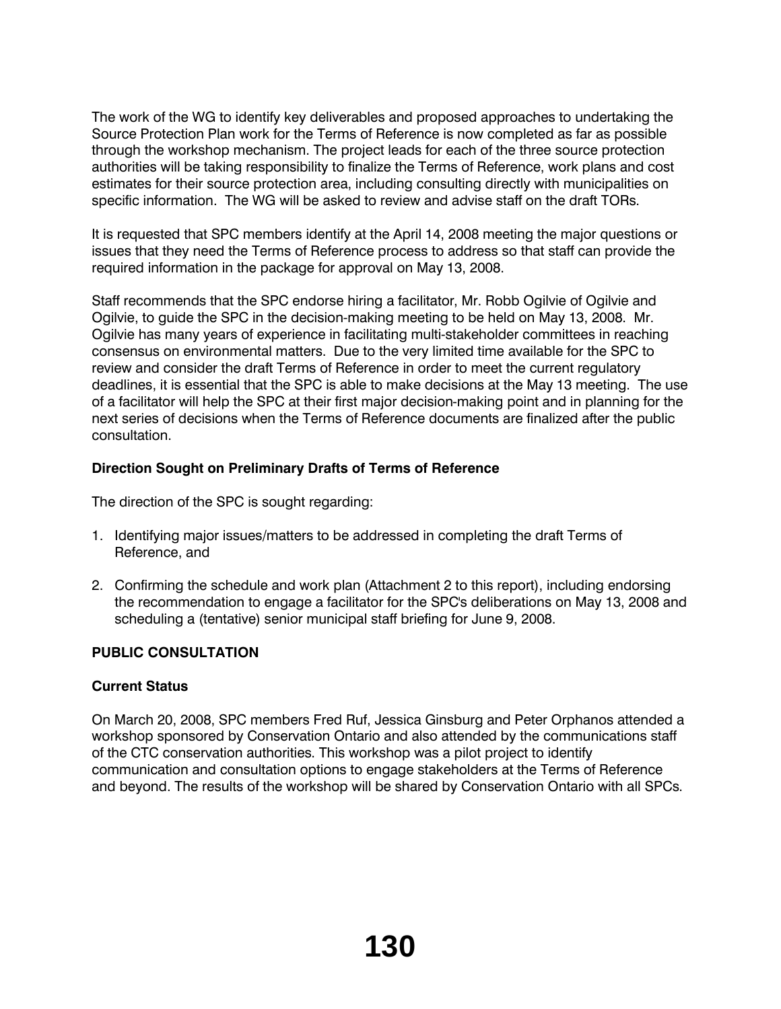The work of the WG to identify key deliverables and proposed approaches to undertaking the Source Protection Plan work for the Terms of Reference is now completed as far as possible through the workshop mechanism. The project leads for each of the three source protection authorities will be taking responsibility to finalize the Terms of Reference, work plans and cost estimates for their source protection area, including consulting directly with municipalities on specific information. The WG will be asked to review and advise staff on the draft TORs.

It is requested that SPC members identify at the April 14, 2008 meeting the major questions or issues that they need the Terms of Reference process to address so that staff can provide the required information in the package for approval on May 13, 2008.

Staff recommends that the SPC endorse hiring a facilitator, Mr. Robb Ogilvie of Ogilvie and Ogilvie, to guide the SPC in the decision-making meeting to be held on May 13, 2008. Mr. Ogilvie has many years of experience in facilitating multi-stakeholder committees in reaching consensus on environmental matters. Due to the very limited time available for the SPC to review and consider the draft Terms of Reference in order to meet the current regulatory deadlines, it is essential that the SPC is able to make decisions at the May 13 meeting. The use of a facilitator will help the SPC at their first major decision-making point and in planning for the next series of decisions when the Terms of Reference documents are finalized after the public consultation.

# **Direction Sought on Preliminary Drafts of Terms of Reference**

The direction of the SPC is sought regarding:

- 1. Identifying major issues*/*matters to be addressed in completing the draft Terms of Reference, and
- 2. Confirming the schedule and work plan (Attachment 2 to this report), including endorsing the recommendation to engage a facilitator for the SPC's deliberations on May 13, 2008 and scheduling a (tentative) senior municipal staff briefing for June 9, 2008.

# **PUBLIC CONSULTATION**

# **Current Status**

On March 20, 2008, SPC members Fred Ruf, Jessica Ginsburg and Peter Orphanos attended a workshop sponsored by Conservation Ontario and also attended by the communications staff of the CTC conservation authorities. This workshop was a pilot project to identify communication and consultation options to engage stakeholders at the Terms of Reference and beyond. The results of the workshop will be shared by Conservation Ontario with all SPCs.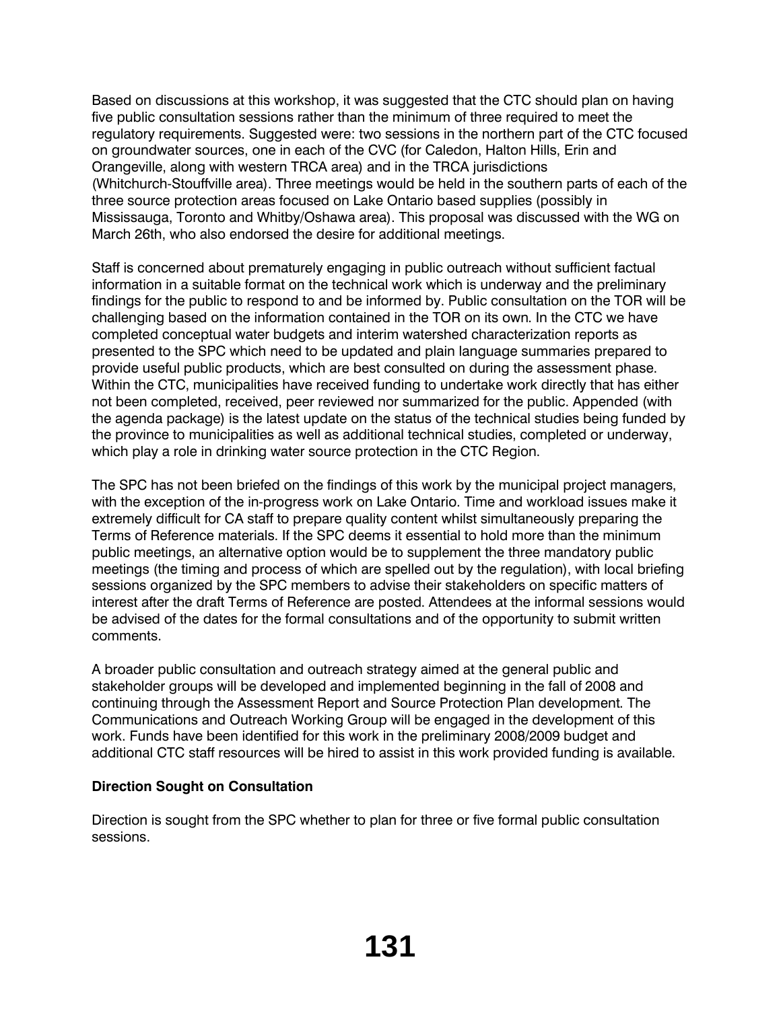Based on discussions at this workshop, it was suggested that the CTC should plan on having five public consultation sessions rather than the minimum of three required to meet the regulatory requirements. Suggested were: two sessions in the northern part of the CTC focused on groundwater sources, one in each of the CVC (for Caledon, Halton Hills, Erin and Orangeville, along with western TRCA area) and in the TRCA jurisdictions (Whitchurch-Stouffville area). Three meetings would be held in the southern parts of each of the three source protection areas focused on Lake Ontario based supplies (possibly in Mississauga, Toronto and Whitby/Oshawa area). This proposal was discussed with the WG on March 26th, who also endorsed the desire for additional meetings.

Staff is concerned about prematurely engaging in public outreach without sufficient factual information in a suitable format on the technical work which is underway and the preliminary findings for the public to respond to and be informed by. Public consultation on the TOR will be challenging based on the information contained in the TOR on its own. In the CTC we have completed conceptual water budgets and interim watershed characterization reports as presented to the SPC which need to be updated and plain language summaries prepared to provide useful public products, which are best consulted on during the assessment phase. Within the CTC, municipalities have received funding to undertake work directly that has either not been completed, received, peer reviewed nor summarized for the public. Appended (with the agenda package) is the latest update on the status of the technical studies being funded by the province to municipalities as well as additional technical studies, completed or underway, which play a role in drinking water source protection in the CTC Region.

The SPC has not been briefed on the findings of this work by the municipal project managers, with the exception of the in-progress work on Lake Ontario. Time and workload issues make it extremely difficult for CA staff to prepare quality content whilst simultaneously preparing the Terms of Reference materials. If the SPC deems it essential to hold more than the minimum public meetings, an alternative option would be to supplement the three mandatory public meetings (the timing and process of which are spelled out by the regulation), with local briefing sessions organized by the SPC members to advise their stakeholders on specific matters of interest after the draft Terms of Reference are posted. Attendees at the informal sessions would be advised of the dates for the formal consultations and of the opportunity to submit written comments.

A broader public consultation and outreach strategy aimed at the general public and stakeholder groups will be developed and implemented beginning in the fall of 2008 and continuing through the Assessment Report and Source Protection Plan development. The Communications and Outreach Working Group will be engaged in the development of this work. Funds have been identified for this work in the preliminary 2008/2009 budget and additional CTC staff resources will be hired to assist in this work provided funding is available.

# **Direction Sought on Consultation**

Direction is sought from the SPC whether to plan for three or five formal public consultation sessions.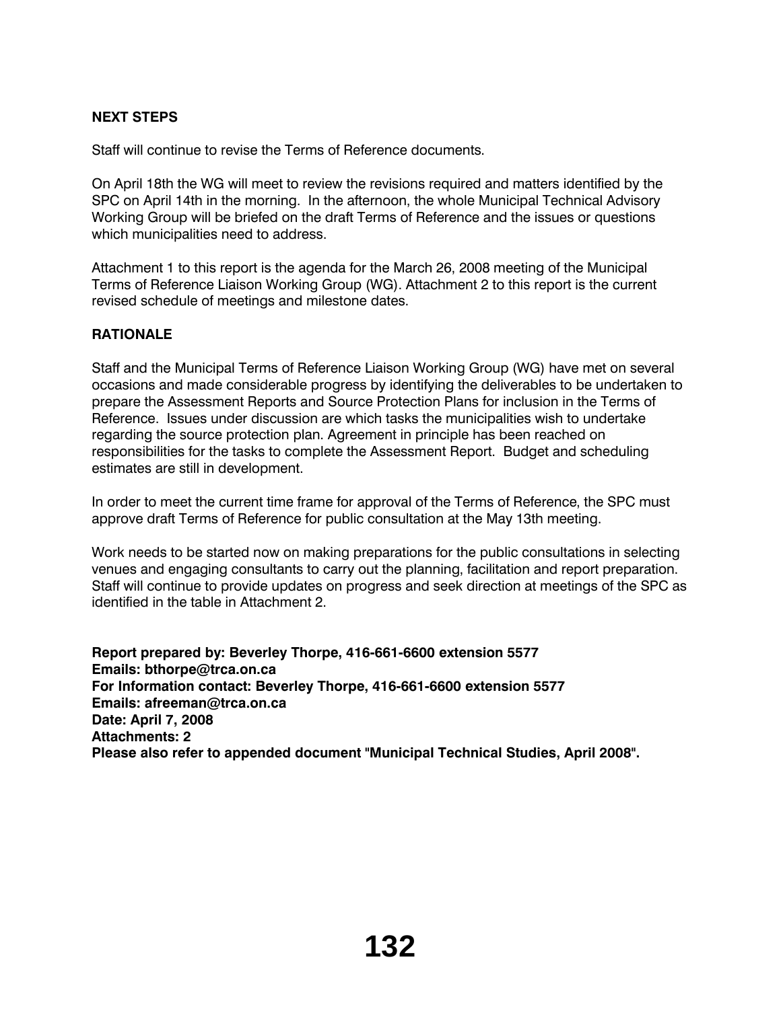# **NEXT STEPS**

Staff will continue to revise the Terms of Reference documents.

On April 18th the WG will meet to review the revisions required and matters identified by the SPC on April 14th in the morning. In the afternoon, the whole Municipal Technical Advisory Working Group will be briefed on the draft Terms of Reference and the issues or questions which municipalities need to address.

Attachment 1 to this report is the agenda for the March 26, 2008 meeting of the Municipal Terms of Reference Liaison Working Group (WG). Attachment 2 to this report is the current revised schedule of meetings and milestone dates.

# **RATIONALE**

Staff and the Municipal Terms of Reference Liaison Working Group (WG) have met on several occasions and made considerable progress by identifying the deliverables to be undertaken to prepare the Assessment Reports and Source Protection Plans for inclusion in the Terms of Reference. Issues under discussion are which tasks the municipalities wish to undertake regarding the source protection plan. Agreement in principle has been reached on responsibilities for the tasks to complete the Assessment Report. Budget and scheduling estimates are still in development.

In order to meet the current time frame for approval of the Terms of Reference, the SPC must approve draft Terms of Reference for public consultation at the May 13th meeting.

Work needs to be started now on making preparations for the public consultations in selecting venues and engaging consultants to carry out the planning, facilitation and report preparation. Staff will continue to provide updates on progress and seek direction at meetings of the SPC as identified in the table in Attachment 2.

**Report prepared by: Beverley Thorpe, 416-661-6600 extension 5577 Emails: bthorpe@trca.on.ca For Information contact: Beverley Thorpe, 416-661-6600 extension 5577 Emails: afreeman@trca.on.ca Date: April 7, 2008 Attachments: 2 Please also refer to appended document "Municipal Technical Studies, April 2008".**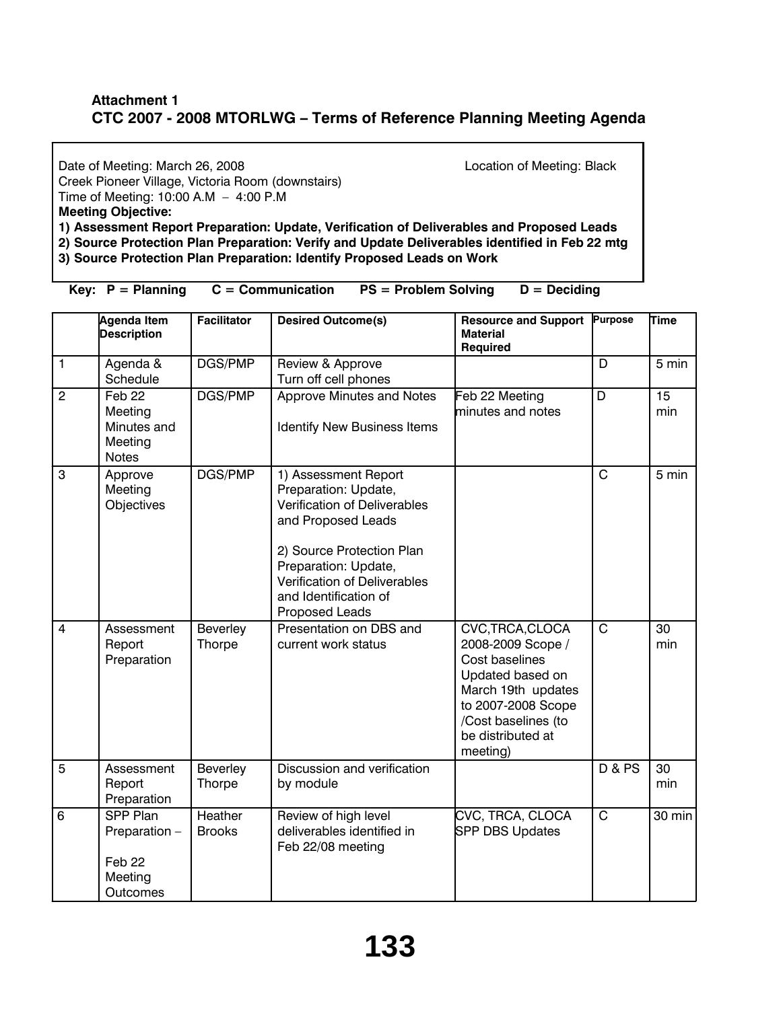# **Attachment 1 CTC 2007 - 2008 MTORLWG – Terms of Reference Planning Meeting Agenda**

Date of Meeting: March 26, 2008 **Date of Meeting: Black** Location of Meeting: Black Creek Pioneer Village, Victoria Room (downstairs) Time of Meeting: 10:00 A.M – 4:00 P.M **Meeting Objective: 1) Assessment Report Preparation: Update, Verification of Deliverables and Proposed Leads 2) Source Protection Plan Preparation: Verify and Update Deliverables identified in Feb 22 mtg 3) Source Protection Plan Preparation: Identify Proposed Leads on Work** 

**Key: P = Planning C = Communication PS = Problem Solving D = Deciding**

|                | <b>Agenda Item</b><br><b>Description</b>                                     | <b>Facilitator</b>       | <b>Desired Outcome(s)</b>                                                                                                                                                                                                                 | <b>Resource and Support</b><br><b>Material</b><br><b>Required</b>                                                                                                               | <b>Purpose</b>          | Time               |
|----------------|------------------------------------------------------------------------------|--------------------------|-------------------------------------------------------------------------------------------------------------------------------------------------------------------------------------------------------------------------------------------|---------------------------------------------------------------------------------------------------------------------------------------------------------------------------------|-------------------------|--------------------|
| $\mathbf{1}$   | Agenda &<br>Schedule                                                         | DGS/PMP                  | Review & Approve<br>Turn off cell phones                                                                                                                                                                                                  |                                                                                                                                                                                 | $\overline{D}$          | $\overline{5}$ min |
| $\overline{c}$ | Feb <sub>22</sub><br>Meeting<br>Minutes and<br>Meeting<br><b>Notes</b>       | DGS/PMP                  | Approve Minutes and Notes<br>Identify New Business Items                                                                                                                                                                                  | Feb 22 Meeting<br>minutes and notes                                                                                                                                             | D                       | 15<br>min          |
| 3              | Approve<br>Meeting<br>Objectives                                             | DGS/PMP                  | 1) Assessment Report<br>Preparation: Update,<br>Verification of Deliverables<br>and Proposed Leads<br>2) Source Protection Plan<br>Preparation: Update,<br>Verification of Deliverables<br>and Identification of<br><b>Proposed Leads</b> |                                                                                                                                                                                 | $\overline{C}$          | 5 min              |
| $\overline{4}$ | Assessment<br>Report<br>Preparation                                          | Beverley<br>Thorpe       | Presentation on DBS and<br>current work status                                                                                                                                                                                            | CVC, TRCA, CLOCA<br>2008-2009 Scope /<br>Cost baselines<br>Updated based on<br>March 19th updates<br>to 2007-2008 Scope<br>/Cost baselines (to<br>be distributed at<br>meeting) | $\overline{\mathrm{c}}$ | 30<br>min          |
| 5              | Assessment<br>Report<br>Preparation                                          | Beverley<br>Thorpe       | Discussion and verification<br>by module                                                                                                                                                                                                  |                                                                                                                                                                                 | <b>D &amp; PS</b>       | 30<br>min          |
| 6              | <b>SPP Plan</b><br>Preparation -<br>Feb <sub>22</sub><br>Meeting<br>Outcomes | Heather<br><b>Brooks</b> | Review of high level<br>deliverables identified in<br>Feb 22/08 meeting                                                                                                                                                                   | CVC, TRCA, CLOCA<br><b>SPP DBS Updates</b>                                                                                                                                      | $\mathbf C$             | 30 min             |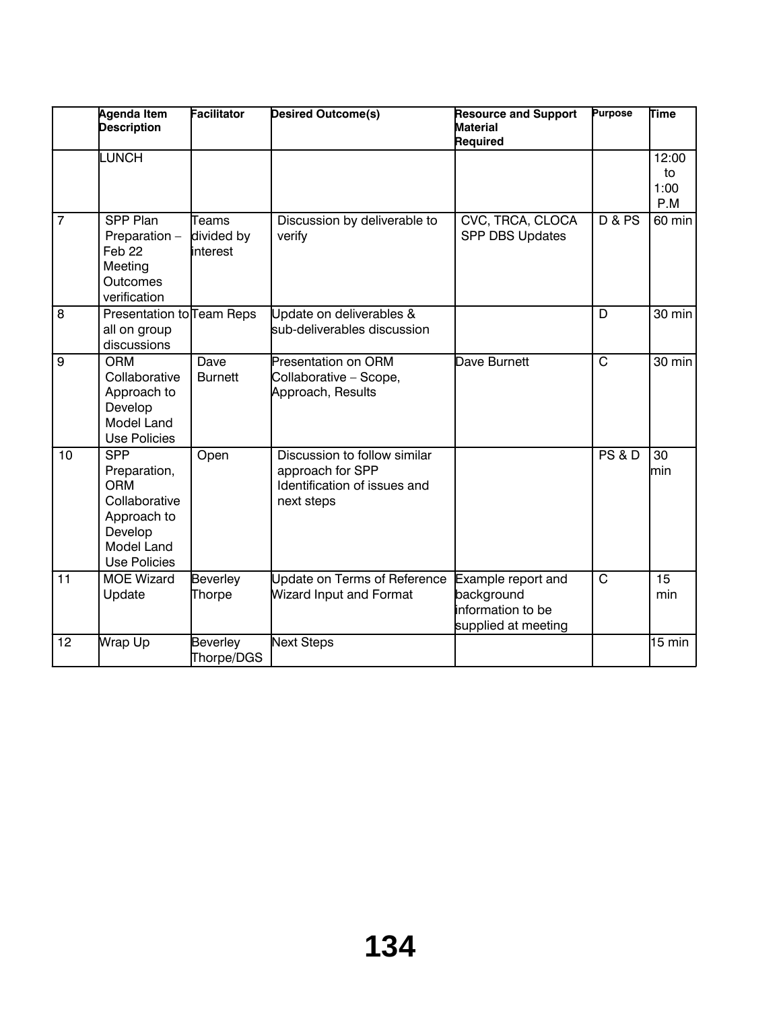|                | <b>Agenda Item</b><br><b>Description</b>                                                                                        | <b>Facilitator</b>               | <b>Desired Outcome(s)</b>                                                                      | <b>Resource and Support</b><br><b>Material</b><br>Required                            | <b>Purpose</b>          | <b>Time</b>                |
|----------------|---------------------------------------------------------------------------------------------------------------------------------|----------------------------------|------------------------------------------------------------------------------------------------|---------------------------------------------------------------------------------------|-------------------------|----------------------------|
|                | <b>LUNCH</b>                                                                                                                    |                                  |                                                                                                |                                                                                       |                         | 12:00<br>to<br>1:00<br>P.M |
| $\overline{7}$ | SPP Plan<br>Preparation -<br>Feb <sub>22</sub><br>Meeting<br><b>Outcomes</b><br>verification                                    | Teams<br>divided by<br>linterest | Discussion by deliverable to<br>verify                                                         | CVC, TRCA, CLOCA<br><b>SPP DBS Updates</b>                                            | <b>D &amp; PS</b>       | 60 min                     |
| 8              | Presentation to Team Reps<br>all on group<br>discussions                                                                        |                                  | Update on deliverables &<br>sub-deliverables discussion                                        |                                                                                       | D                       | 30 min                     |
| 9              | <b>ORM</b><br>Collaborative<br>Approach to<br>Develop<br><b>Model Land</b><br><b>Use Policies</b>                               | Dave<br><b>Burnett</b>           | <b>Presentation on ORM</b><br>Collaborative - Scope,<br>Approach, Results                      | Dave Burnett                                                                          | $\mathsf{C}$            | 30 min                     |
| 10             | <b>SPP</b><br>Preparation,<br><b>ORM</b><br>Collaborative<br>Approach to<br>Develop<br><b>Model Land</b><br><b>Use Policies</b> | Open                             | Discussion to follow similar<br>approach for SPP<br>Identification of issues and<br>next steps |                                                                                       | <b>PS &amp; D</b>       | 30<br>lmin                 |
| 11             | <b>MOE Wizard</b><br>Update                                                                                                     | Beverley<br>Thorpe               | Update on Terms of Reference<br><b>Wizard Input and Format</b>                                 | Example report and<br>background<br><b>l</b> information to be<br>supplied at meeting | $\overline{\mathsf{c}}$ | 15<br>min                  |
| 12             | Wrap Up                                                                                                                         | Beverley<br>Thorpe/DGS           | <b>Next Steps</b>                                                                              |                                                                                       |                         | $15 \text{ min}$           |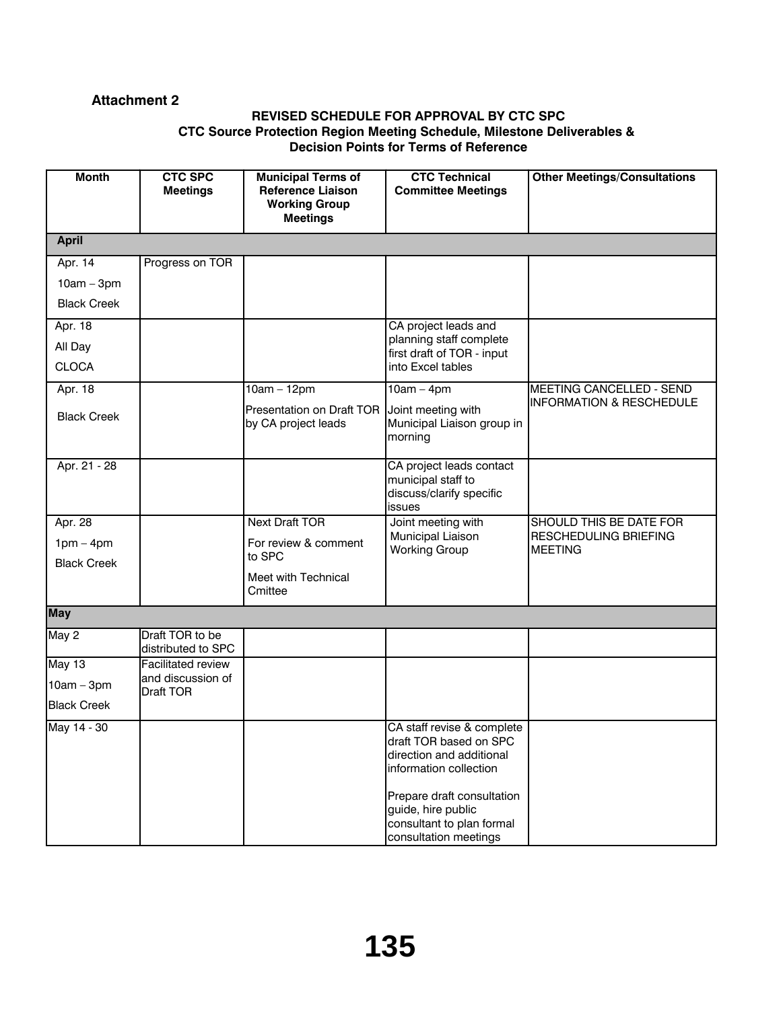# **Attachment 2**

## **REVISED SCHEDULE FOR APPROVAL BY CTC SPC CTC Source Protection Region Meeting Schedule, Milestone Deliverables & Decision Points for Terms of Reference**

| <b>Month</b>       | <b>CTC SPC</b><br><b>Meetings</b>     | <b>Municipal Terms of</b><br><b>Reference Liaison</b><br><b>Working Group</b><br><b>Meetings</b> | <b>CTC Technical</b><br><b>Committee Meetings</b>                                                                                                                                                                    | <b>Other Meetings/Consultations</b>     |
|--------------------|---------------------------------------|--------------------------------------------------------------------------------------------------|----------------------------------------------------------------------------------------------------------------------------------------------------------------------------------------------------------------------|-----------------------------------------|
| <b>April</b>       |                                       |                                                                                                  |                                                                                                                                                                                                                      |                                         |
| Apr. 14            | Progress on TOR                       |                                                                                                  |                                                                                                                                                                                                                      |                                         |
| $10am - 3pm$       |                                       |                                                                                                  |                                                                                                                                                                                                                      |                                         |
| <b>Black Creek</b> |                                       |                                                                                                  |                                                                                                                                                                                                                      |                                         |
| Apr. 18            |                                       |                                                                                                  | CA project leads and                                                                                                                                                                                                 |                                         |
| All Day            |                                       |                                                                                                  | planning staff complete<br>first draft of TOR - input                                                                                                                                                                |                                         |
| <b>CLOCA</b>       |                                       |                                                                                                  | into Excel tables                                                                                                                                                                                                    |                                         |
| Apr. 18            |                                       | $10am - 12pm$                                                                                    | $10am - 4pm$                                                                                                                                                                                                         | <b>MEETING CANCELLED - SEND</b>         |
| <b>Black Creek</b> |                                       | Presentation on Draft TOR  <br>by CA project leads                                               | Joint meeting with<br>Municipal Liaison group in<br>morning                                                                                                                                                          | <b>INFORMATION &amp; RESCHEDULE</b>     |
| Apr. 21 - 28       |                                       |                                                                                                  | CA project leads contact<br>municipal staff to<br>discuss/clarify specific<br>issues                                                                                                                                 |                                         |
| Apr. 28            |                                       | <b>Next Draft TOR</b>                                                                            | Joint meeting with                                                                                                                                                                                                   | SHOULD THIS BE DATE FOR                 |
| $1pm - 4pm$        |                                       | For review & comment<br>to SPC                                                                   | Municipal Liaison<br><b>Working Group</b>                                                                                                                                                                            | RESCHEDULING BRIEFING<br><b>MEETING</b> |
| <b>Black Creek</b> |                                       | Meet with Technical<br>Cmittee                                                                   |                                                                                                                                                                                                                      |                                         |
| <b>May</b>         |                                       |                                                                                                  |                                                                                                                                                                                                                      |                                         |
| May 2              | Draft TOR to be<br>distributed to SPC |                                                                                                  |                                                                                                                                                                                                                      |                                         |
| May 13             | <b>Facilitated review</b>             |                                                                                                  |                                                                                                                                                                                                                      |                                         |
| $10am - 3pm$       | and discussion of<br>Draft TOR        |                                                                                                  |                                                                                                                                                                                                                      |                                         |
| <b>Black Creek</b> |                                       |                                                                                                  |                                                                                                                                                                                                                      |                                         |
| May 14 - 30        |                                       |                                                                                                  | CA staff revise & complete<br>draft TOR based on SPC<br>direction and additional<br>information collection<br>Prepare draft consultation<br>guide, hire public<br>consultant to plan formal<br>consultation meetings |                                         |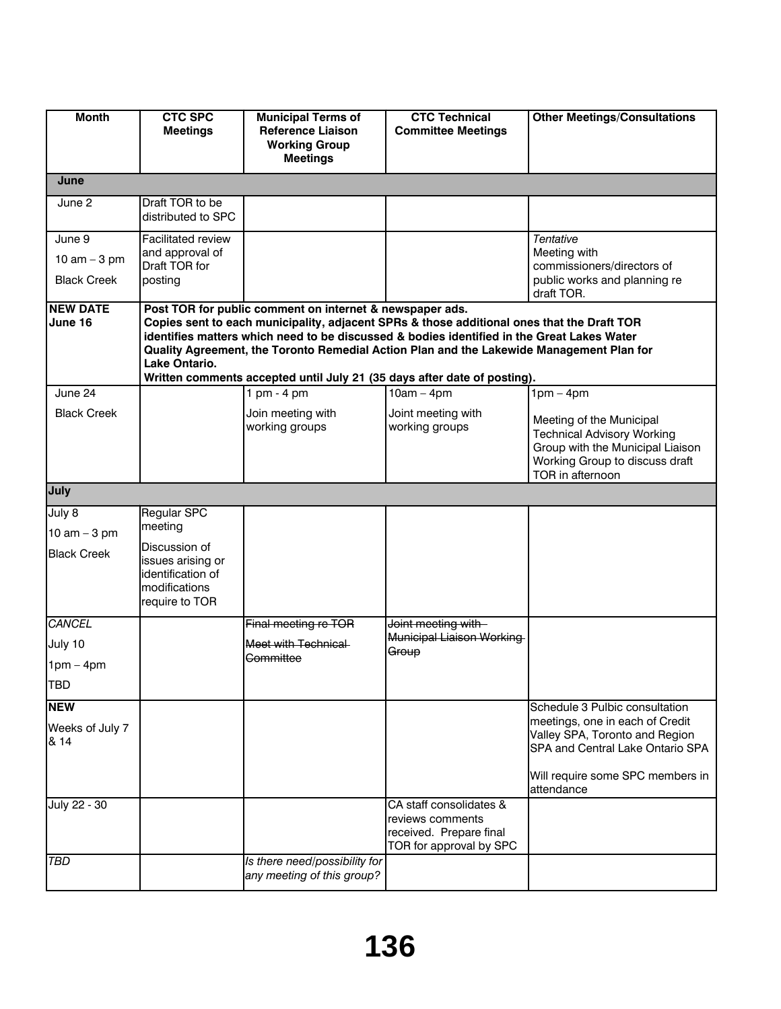| <b>Month</b>                                   | <b>CTC SPC</b><br><b>Meetings</b>                                                                                    | <b>Municipal Terms of</b><br><b>Reference Liaison</b><br><b>Working Group</b><br><b>Meetings</b>                                                                                                                                                                                                                                                                                                                             | <b>CTC Technical</b><br><b>Committee Meetings</b>                                                 | <b>Other Meetings/Consultations</b>                                                                                                                                                       |
|------------------------------------------------|----------------------------------------------------------------------------------------------------------------------|------------------------------------------------------------------------------------------------------------------------------------------------------------------------------------------------------------------------------------------------------------------------------------------------------------------------------------------------------------------------------------------------------------------------------|---------------------------------------------------------------------------------------------------|-------------------------------------------------------------------------------------------------------------------------------------------------------------------------------------------|
| June                                           |                                                                                                                      |                                                                                                                                                                                                                                                                                                                                                                                                                              |                                                                                                   |                                                                                                                                                                                           |
| June 2                                         | Draft TOR to be<br>distributed to SPC                                                                                |                                                                                                                                                                                                                                                                                                                                                                                                                              |                                                                                                   |                                                                                                                                                                                           |
| June 9<br>10 $am - 3 pm$<br><b>Black Creek</b> | <b>Facilitated review</b><br>and approval of<br>Draft TOR for<br>posting                                             |                                                                                                                                                                                                                                                                                                                                                                                                                              |                                                                                                   | Tentative<br>Meeting with<br>commissioners/directors of<br>public works and planning re<br>draft TOR.                                                                                     |
| <b>NEW DATE</b><br>June 16                     | Lake Ontario.                                                                                                        | Post TOR for public comment on internet & newspaper ads.<br>Copies sent to each municipality, adjacent SPRs & those additional ones that the Draft TOR<br>identifies matters which need to be discussed & bodies identified in the Great Lakes Water<br>Quality Agreement, the Toronto Remedial Action Plan and the Lakewide Management Plan for<br>Written comments accepted until July 21 (35 days after date of posting). |                                                                                                   |                                                                                                                                                                                           |
| June 24<br><b>Black Creek</b>                  |                                                                                                                      | 1 pm $-$ 4 pm<br>Join meeting with<br>working groups                                                                                                                                                                                                                                                                                                                                                                         | $10am - 4pm$<br>Joint meeting with<br>working groups                                              | $1pm - 4pm$<br>Meeting of the Municipal<br><b>Technical Advisory Working</b><br>Group with the Municipal Liaison<br>Working Group to discuss draft<br>TOR in afternoon                    |
| July                                           |                                                                                                                      |                                                                                                                                                                                                                                                                                                                                                                                                                              |                                                                                                   |                                                                                                                                                                                           |
| July 8<br>10 $am - 3 pm$<br><b>Black Creek</b> | Regular SPC<br>meeting<br>Discussion of<br>issues arising or<br>identification of<br>modifications<br>require to TOR |                                                                                                                                                                                                                                                                                                                                                                                                                              |                                                                                                   |                                                                                                                                                                                           |
| <b>CANCEL</b><br>July 10<br>$1pm - 4pm$<br>TBD |                                                                                                                      | Final meeting re TOR<br>Meet with Technical<br><del>Committee</del>                                                                                                                                                                                                                                                                                                                                                          | Joint meeting with<br><b>Municipal Liaison Working</b><br>Group                                   |                                                                                                                                                                                           |
| <b>NEW</b><br>Weeks of July 7<br>& 14          |                                                                                                                      |                                                                                                                                                                                                                                                                                                                                                                                                                              |                                                                                                   | Schedule 3 Pulbic consultation<br>meetings, one in each of Credit<br>Valley SPA, Toronto and Region<br>SPA and Central Lake Ontario SPA<br>Will require some SPC members in<br>attendance |
| July 22 - 30<br>TBD                            |                                                                                                                      | Is there need/possibility for<br>any meeting of this group?                                                                                                                                                                                                                                                                                                                                                                  | CA staff consolidates &<br>reviews comments<br>received. Prepare final<br>TOR for approval by SPC |                                                                                                                                                                                           |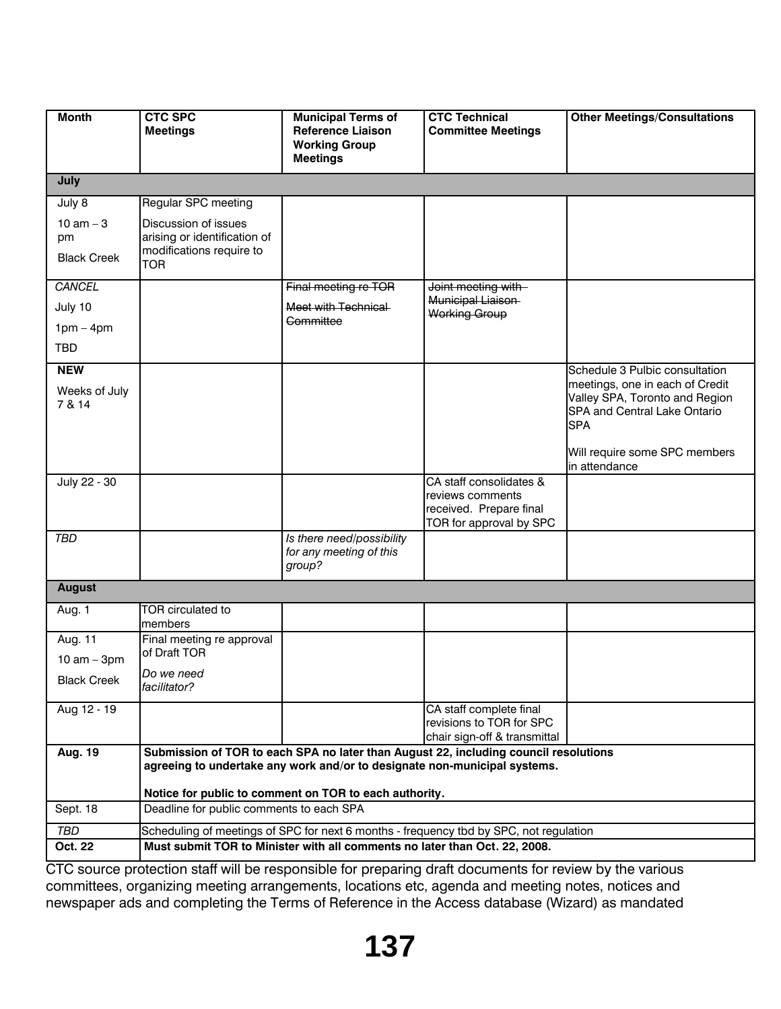| <b>Month</b>       | <b>CTC SPC</b><br><b>Meetings</b>                        | <b>Municipal Terms of</b><br><b>Reference Liaison</b><br><b>Working Group</b> | <b>CTC Technical</b><br><b>Committee Meetings</b>                                      | <b>Other Meetings/Consultations</b>                               |
|--------------------|----------------------------------------------------------|-------------------------------------------------------------------------------|----------------------------------------------------------------------------------------|-------------------------------------------------------------------|
|                    |                                                          | <b>Meetings</b>                                                               |                                                                                        |                                                                   |
| July               |                                                          |                                                                               |                                                                                        |                                                                   |
| July 8             | Regular SPC meeting                                      |                                                                               |                                                                                        |                                                                   |
| 10 $am - 3$        | Discussion of issues                                     |                                                                               |                                                                                        |                                                                   |
| pm                 | arising or identification of<br>modifications require to |                                                                               |                                                                                        |                                                                   |
| <b>Black Creek</b> | <b>TOR</b>                                               |                                                                               |                                                                                        |                                                                   |
| CANCEL             |                                                          | Final meeting re TOR                                                          | Joint meeting with                                                                     |                                                                   |
| July 10            |                                                          | Meet with Technical                                                           | Municipal Liaison<br><b>Working Group</b>                                              |                                                                   |
| $1pm - 4pm$        |                                                          | Committee                                                                     |                                                                                        |                                                                   |
| <b>TBD</b>         |                                                          |                                                                               |                                                                                        |                                                                   |
| <b>NEW</b>         |                                                          |                                                                               |                                                                                        | Schedule 3 Pulbic consultation                                    |
| Weeks of July      |                                                          |                                                                               |                                                                                        | meetings, one in each of Credit<br>Valley SPA, Toronto and Region |
| 7 & 14             |                                                          |                                                                               |                                                                                        | SPA and Central Lake Ontario                                      |
|                    |                                                          |                                                                               |                                                                                        | <b>SPA</b>                                                        |
|                    |                                                          |                                                                               |                                                                                        | Will require some SPC members                                     |
| July 22 - 30       |                                                          |                                                                               | CA staff consolidates &                                                                | in attendance                                                     |
|                    |                                                          |                                                                               | reviews comments                                                                       |                                                                   |
|                    |                                                          |                                                                               | received. Prepare final<br>TOR for approval by SPC                                     |                                                                   |
| <b>TBD</b>         |                                                          | Is there need/possibility                                                     |                                                                                        |                                                                   |
|                    |                                                          | for any meeting of this                                                       |                                                                                        |                                                                   |
|                    |                                                          | group?                                                                        |                                                                                        |                                                                   |
| <b>August</b>      |                                                          |                                                                               |                                                                                        |                                                                   |
| Aug. 1             | TOR circulated to<br>members                             |                                                                               |                                                                                        |                                                                   |
| Aug. 11            | Final meeting re approval                                |                                                                               |                                                                                        |                                                                   |
| 10 $am - 3pm$      | of Draft TOR                                             |                                                                               |                                                                                        |                                                                   |
| <b>Black Creek</b> | Do we need<br>facilitator?                               |                                                                               |                                                                                        |                                                                   |
| Aug 12 - 19        |                                                          |                                                                               | CA staff complete final<br>revisions to TOR for SPC                                    |                                                                   |
|                    |                                                          |                                                                               | chair sign-off & transmittal                                                           |                                                                   |
| <b>Aug. 19</b>     |                                                          |                                                                               | Submission of TOR to each SPA no later than August 22, including council resolutions   |                                                                   |
|                    |                                                          | agreeing to undertake any work and/or to designate non-municipal systems.     |                                                                                        |                                                                   |
|                    |                                                          | Notice for public to comment on TOR to each authority.                        |                                                                                        |                                                                   |
| Sept. 18           | Deadline for public comments to each SPA                 |                                                                               |                                                                                        |                                                                   |
| TBD                |                                                          |                                                                               | Scheduling of meetings of SPC for next 6 months - frequency tbd by SPC, not regulation |                                                                   |
| Oct. 22            |                                                          | Must submit TOR to Minister with all comments no later than Oct. 22, 2008.    |                                                                                        |                                                                   |

CTC source protection staff will be responsible for preparing draft documents for review by the various committees, organizing meeting arrangements, locations etc, agenda and meeting notes, notices and newspaper ads and completing the Terms of Reference in the Access database (Wizard) as mandated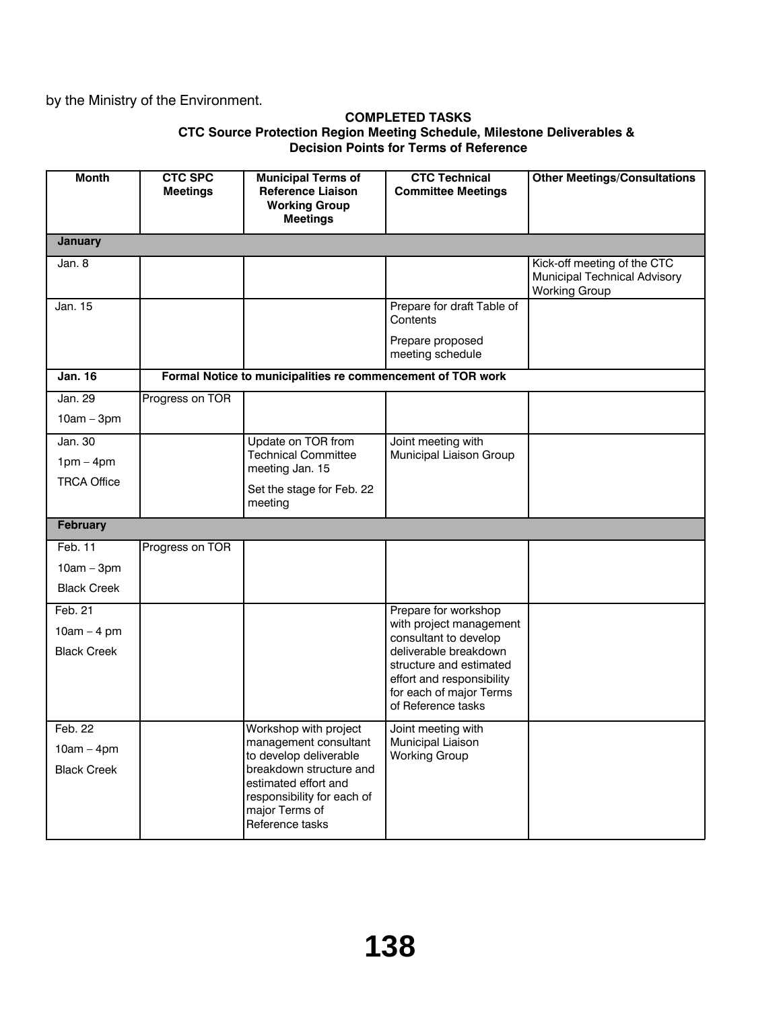# by the Ministry of the Environment.

#### **COMPLETED TASKS CTC Source Protection Region Meeting Schedule, Milestone Deliverables & Decision Points for Terms of Reference**

| <b>Month</b>                       | <b>CTC SPC</b><br><b>Meetings</b> | <b>Municipal Terms of</b><br><b>Reference Liaison</b><br><b>Working Group</b><br><b>Meetings</b>                   | <b>CTC Technical</b><br><b>Committee Meetings</b>                                                     | <b>Other Meetings/Consultations</b>                                                 |
|------------------------------------|-----------------------------------|--------------------------------------------------------------------------------------------------------------------|-------------------------------------------------------------------------------------------------------|-------------------------------------------------------------------------------------|
| <b>January</b>                     |                                   |                                                                                                                    |                                                                                                       |                                                                                     |
| Jan. 8                             |                                   |                                                                                                                    |                                                                                                       | Kick-off meeting of the CTC<br>Municipal Technical Advisory<br><b>Working Group</b> |
| Jan. 15                            |                                   |                                                                                                                    | Prepare for draft Table of<br>Contents                                                                |                                                                                     |
|                                    |                                   |                                                                                                                    | Prepare proposed<br>meeting schedule                                                                  |                                                                                     |
| <b>Jan. 16</b>                     |                                   | Formal Notice to municipalities re commencement of TOR work                                                        |                                                                                                       |                                                                                     |
| Jan. 29<br>$10am - 3pm$            | Progress on TOR                   |                                                                                                                    |                                                                                                       |                                                                                     |
| Jan. 30                            |                                   | Update on TOR from<br><b>Technical Committee</b>                                                                   | Joint meeting with<br>Municipal Liaison Group                                                         |                                                                                     |
| $1pm - 4pm$                        |                                   | meeting Jan. 15                                                                                                    |                                                                                                       |                                                                                     |
| <b>TRCA Office</b>                 |                                   | Set the stage for Feb. 22<br>meeting                                                                               |                                                                                                       |                                                                                     |
| February                           |                                   |                                                                                                                    |                                                                                                       |                                                                                     |
| Feb. 11                            | Progress on TOR                   |                                                                                                                    |                                                                                                       |                                                                                     |
| $10am - 3pm$                       |                                   |                                                                                                                    |                                                                                                       |                                                                                     |
| <b>Black Creek</b>                 |                                   |                                                                                                                    |                                                                                                       |                                                                                     |
| Feb. 21                            |                                   |                                                                                                                    | Prepare for workshop<br>with project management                                                       |                                                                                     |
| $10am - 4pm$<br><b>Black Creek</b> |                                   |                                                                                                                    | consultant to develop<br>deliverable breakdown                                                        |                                                                                     |
|                                    |                                   |                                                                                                                    | structure and estimated<br>effort and responsibility<br>for each of major Terms<br>of Reference tasks |                                                                                     |
| Feb. 22                            |                                   | Workshop with project                                                                                              | Joint meeting with                                                                                    |                                                                                     |
| $10am - 4pm$                       |                                   | management consultant<br>to develop deliverable                                                                    | Municipal Liaison<br><b>Working Group</b>                                                             |                                                                                     |
| <b>Black Creek</b>                 |                                   | breakdown structure and<br>estimated effort and<br>responsibility for each of<br>major Terms of<br>Reference tasks |                                                                                                       |                                                                                     |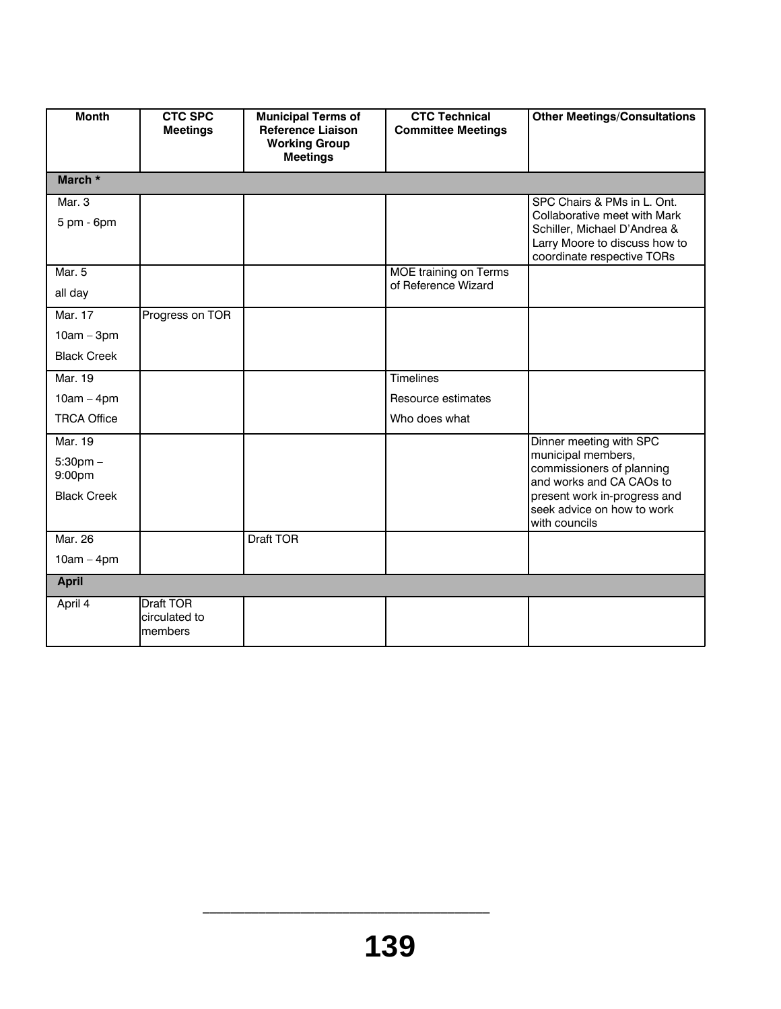| <b>Month</b>                                             | <b>CTC SPC</b><br><b>Meetings</b>            | <b>Municipal Terms of</b><br><b>Reference Liaison</b><br><b>Working Group</b> | <b>CTC Technical</b><br><b>Committee Meetings</b> | <b>Other Meetings/Consultations</b>                                                                                                                                  |
|----------------------------------------------------------|----------------------------------------------|-------------------------------------------------------------------------------|---------------------------------------------------|----------------------------------------------------------------------------------------------------------------------------------------------------------------------|
|                                                          |                                              | <b>Meetings</b>                                                               |                                                   |                                                                                                                                                                      |
| March *                                                  |                                              |                                                                               |                                                   |                                                                                                                                                                      |
| Mar. 3<br>5 pm - 6pm                                     |                                              |                                                                               |                                                   | SPC Chairs & PMs in L. Ont.<br>Collaborative meet with Mark<br>Schiller, Michael D'Andrea &<br>Larry Moore to discuss how to<br>coordinate respective TORs           |
| Mar. 5                                                   |                                              |                                                                               | MOE training on Terms                             |                                                                                                                                                                      |
| all day                                                  |                                              |                                                                               | of Reference Wizard                               |                                                                                                                                                                      |
| Mar. 17                                                  | Progress on TOR                              |                                                                               |                                                   |                                                                                                                                                                      |
| $10am - 3pm$                                             |                                              |                                                                               |                                                   |                                                                                                                                                                      |
| <b>Black Creek</b>                                       |                                              |                                                                               |                                                   |                                                                                                                                                                      |
| Mar. 19                                                  |                                              |                                                                               | <b>Timelines</b>                                  |                                                                                                                                                                      |
| $10am - 4pm$                                             |                                              |                                                                               | Resource estimates                                |                                                                                                                                                                      |
| <b>TRCA Office</b>                                       |                                              |                                                                               | Who does what                                     |                                                                                                                                                                      |
| Mar. 19<br>$5:30$ pm $-$<br>9:00pm<br><b>Black Creek</b> |                                              |                                                                               |                                                   | Dinner meeting with SPC<br>municipal members,<br>commissioners of planning<br>and works and CA CAOs to<br>present work in-progress and<br>seek advice on how to work |
|                                                          |                                              |                                                                               |                                                   | with councils                                                                                                                                                        |
| Mar. 26                                                  |                                              | <b>Draft TOR</b>                                                              |                                                   |                                                                                                                                                                      |
| $10am - 4pm$                                             |                                              |                                                                               |                                                   |                                                                                                                                                                      |
| <b>April</b>                                             |                                              |                                                                               |                                                   |                                                                                                                                                                      |
| April 4                                                  | <b>Draft TOR</b><br>circulated to<br>members |                                                                               |                                                   |                                                                                                                                                                      |

 $\frac{1}{2}$  ,  $\frac{1}{2}$  ,  $\frac{1}{2}$  ,  $\frac{1}{2}$  ,  $\frac{1}{2}$  ,  $\frac{1}{2}$  ,  $\frac{1}{2}$  ,  $\frac{1}{2}$  ,  $\frac{1}{2}$  ,  $\frac{1}{2}$  ,  $\frac{1}{2}$  ,  $\frac{1}{2}$  ,  $\frac{1}{2}$  ,  $\frac{1}{2}$  ,  $\frac{1}{2}$  ,  $\frac{1}{2}$  ,  $\frac{1}{2}$  ,  $\frac{1}{2}$  ,  $\frac{1$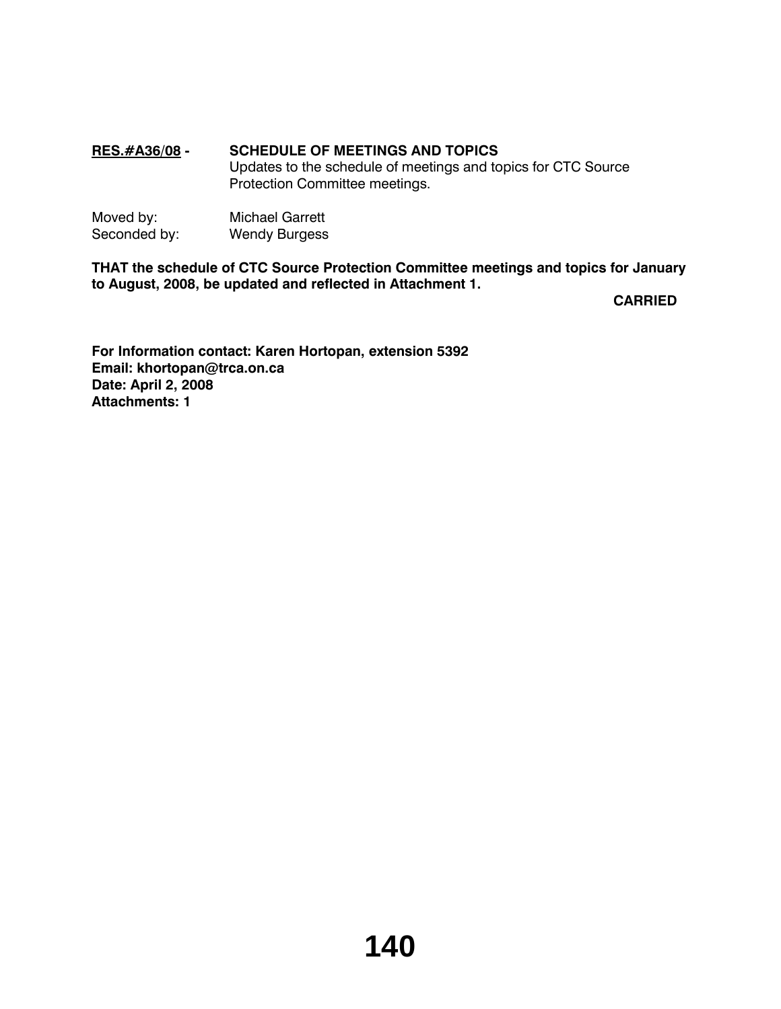# **RES.#A36/08 - SCHEDULE OF MEETINGS AND TOPICS**

Updates to the schedule of meetings and topics for CTC Source Protection Committee meetings.

| Moved by:    | <b>Michael Garrett</b> |
|--------------|------------------------|
| Seconded by: | <b>Wendy Burgess</b>   |

**THAT the schedule of CTC Source Protection Committee meetings and topics for January to August, 2008, be updated and reflected in Attachment 1.**

**CARRIED**

**For Information contact: Karen Hortopan, extension 5392 Email: khortopan@trca.on.ca Date: April 2, 2008 Attachments: 1**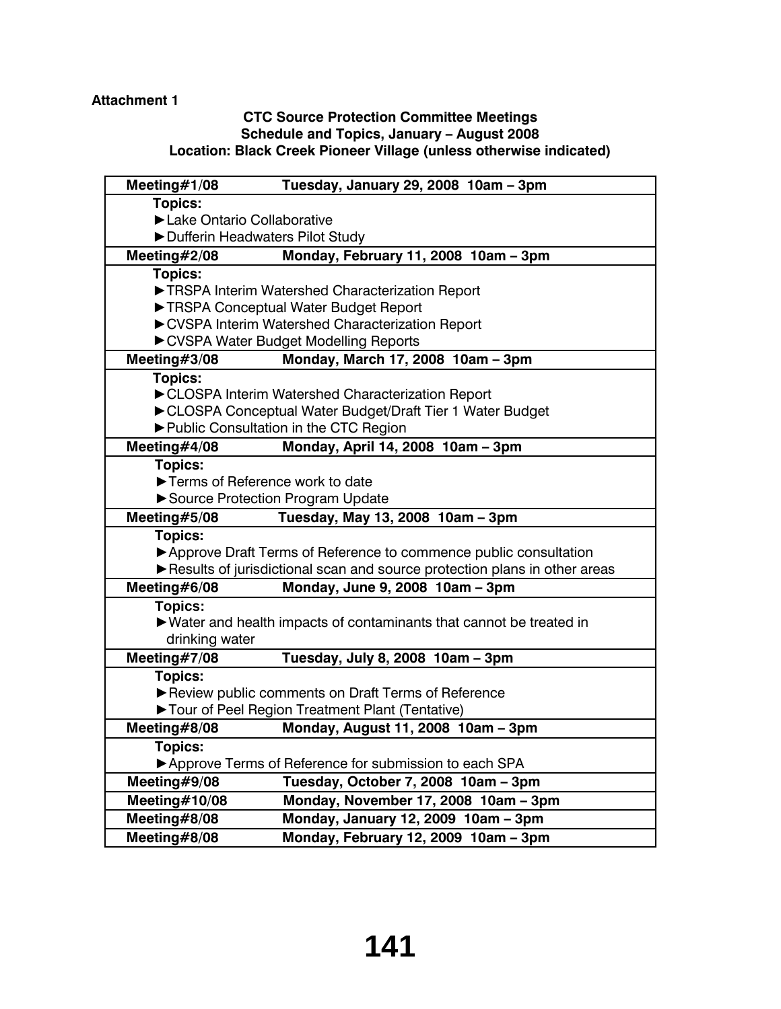# **Attachment 1**

# **CTC Source Protection Committee Meetings Schedule and Topics, January – August 2008 Location: Black Creek Pioneer Village (unless otherwise indicated)**

| Meeting#1/08                    | Tuesday, January 29, 2008 10am - 3pm                                      |
|---------------------------------|---------------------------------------------------------------------------|
| <b>Topics:</b>                  |                                                                           |
| Lake Ontario Collaborative      |                                                                           |
| Dufferin Headwaters Pilot Study |                                                                           |
| Meeting#2/08                    | Monday, February 11, 2008 10am - 3pm                                      |
| <b>Topics:</b>                  |                                                                           |
|                                 | TRSPA Interim Watershed Characterization Report                           |
|                                 | TRSPA Conceptual Water Budget Report                                      |
|                                 | CVSPA Interim Watershed Characterization Report                           |
|                                 | CVSPA Water Budget Modelling Reports                                      |
| Meeting $#3/08$                 | Monday, March 17, 2008 10am - 3pm                                         |
| Topics:                         |                                                                           |
|                                 | CLOSPA Interim Watershed Characterization Report                          |
|                                 | CLOSPA Conceptual Water Budget/Draft Tier 1 Water Budget                  |
|                                 | ▶ Public Consultation in the CTC Region                                   |
| Meeting#4/08                    | Monday, April 14, 2008 10am - 3pm                                         |
| <b>Topics:</b>                  |                                                                           |
|                                 | Terms of Reference work to date                                           |
|                                 | Source Protection Program Update                                          |
| Meeting#5/08                    | Tuesday, May 13, 2008 10am - 3pm                                          |
|                                 |                                                                           |
| <b>Topics:</b>                  |                                                                           |
|                                 | ▶ Approve Draft Terms of Reference to commence public consultation        |
|                                 | Results of jurisdictional scan and source protection plans in other areas |
| Meeting#6/08                    | Monday, June 9, 2008 10am - 3pm                                           |
| <b>Topics:</b>                  |                                                                           |
|                                 | ▶ Water and health impacts of contaminants that cannot be treated in      |
| drinking water                  |                                                                           |
| Meeting#7/08                    | Tuesday, July 8, 2008 10am - 3pm                                          |
| Topics:                         |                                                                           |
|                                 | Review public comments on Draft Terms of Reference                        |
|                                 | Tour of Peel Region Treatment Plant (Tentative)                           |
| Meeting#8/08                    | Monday, August 11, 2008 10am - 3pm                                        |
| <b>Topics:</b>                  |                                                                           |
|                                 | Approve Terms of Reference for submission to each SPA                     |
| Meeting#9/08                    | Tuesday, October 7, 2008 10am - 3pm                                       |
| Meeting $#10/08$                | Monday, November 17, 2008 10am - 3pm                                      |
| Meeting#8/08                    | Monday, January 12, 2009 10am - 3pm                                       |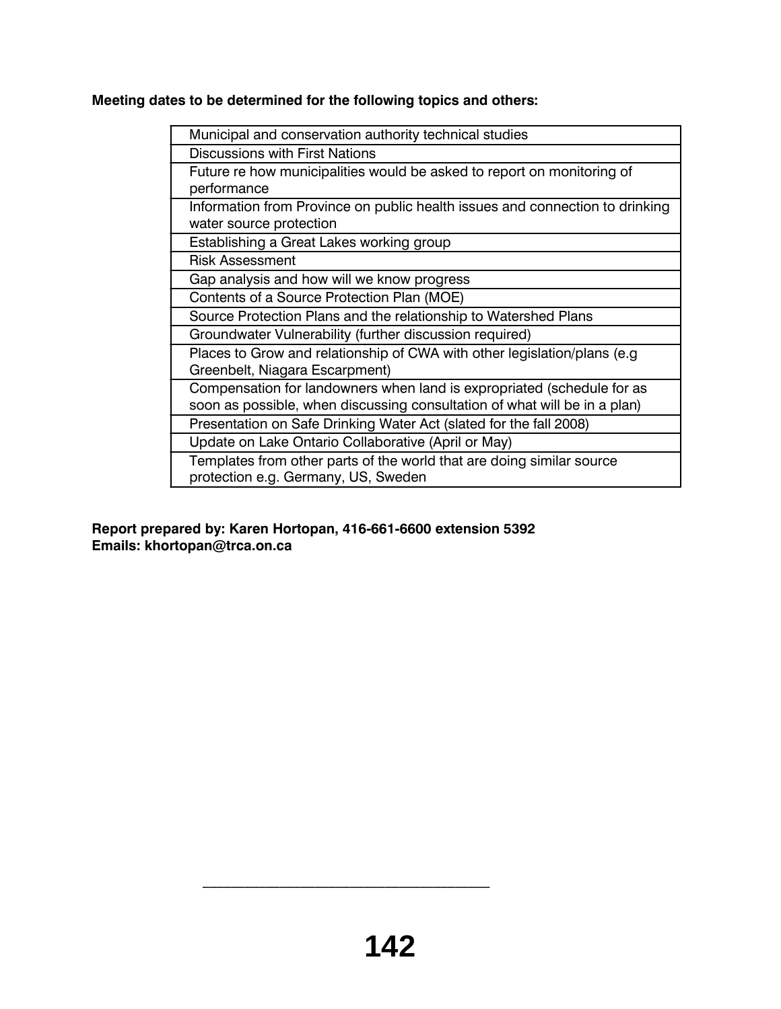**Meeting dates to be determined for the following topics and others:**

| Municipal and conservation authority technical studies                       |
|------------------------------------------------------------------------------|
| Discussions with First Nations                                               |
| Future re how municipalities would be asked to report on monitoring of       |
| performance                                                                  |
| Information from Province on public health issues and connection to drinking |
| water source protection                                                      |
| Establishing a Great Lakes working group                                     |
| <b>Risk Assessment</b>                                                       |
| Gap analysis and how will we know progress                                   |
| Contents of a Source Protection Plan (MOE)                                   |
| Source Protection Plans and the relationship to Watershed Plans              |
| Groundwater Vulnerability (further discussion required)                      |
| Places to Grow and relationship of CWA with other legislation/plans (e.g.    |
| Greenbelt, Niagara Escarpment)                                               |
| Compensation for landowners when land is expropriated (schedule for as       |
| soon as possible, when discussing consultation of what will be in a plan)    |
| Presentation on Safe Drinking Water Act (slated for the fall 2008)           |
| Update on Lake Ontario Collaborative (April or May)                          |
| Templates from other parts of the world that are doing similar source        |
| protection e.g. Germany, US, Sweden                                          |
|                                                                              |

**Report prepared by: Karen Hortopan, 416-661-6600 extension 5392 Emails: khortopan@trca.on.ca**

 $\mathcal{L}_\text{max}$  and  $\mathcal{L}_\text{max}$  and  $\mathcal{L}_\text{max}$  and  $\mathcal{L}_\text{max}$